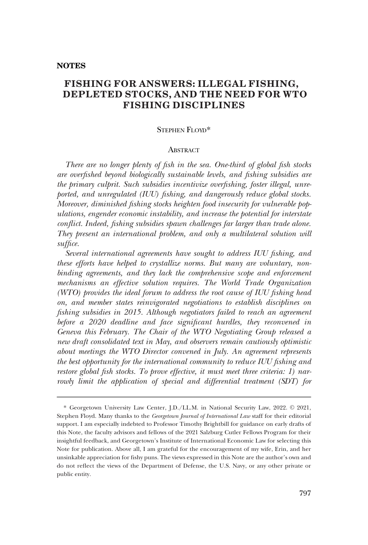# **FISHING FOR ANSWERS: ILLEGAL FISHING, DEPLETED STOCKS, AND THE NEED FOR WTO FISHING DISCIPLINES**

# STEPHEN FLOVD\*

# **ABSTRACT**

*There are no longer plenty of fish in the sea. One-third of global fish stocks are overfished beyond biologically sustainable levels, and fishing subsidies are the primary culprit. Such subsidies incentivize overfishing, foster illegal, unreported, and unregulated (IUU) fishing, and dangerously reduce global stocks. Moreover, diminished fishing stocks heighten food insecurity for vulnerable populations, engender economic instability, and increase the potential for interstate conflict. Indeed, fishing subsidies spawn challenges far larger than trade alone. They present an international problem, and only a multilateral solution will suffice.* 

*Several international agreements have sought to address IUU fishing, and these efforts have helped to crystallize norms. But many are voluntary, nonbinding agreements, and they lack the comprehensive scope and enforcement mechanisms an effective solution requires. The World Trade Organization (WTO) provides the ideal forum to address the root cause of IUU fishing head on, and member states reinvigorated negotiations to establish disciplines on fishing subsidies in 2015. Although negotiators failed to reach an agreement before a 2020 deadline and face significant hurdles, they reconvened in Geneva this February. The Chair of the WTO Negotiating Group released a new draft consolidated text in May, and observers remain cautiously optimistic about meetings the WTO Director convened in July. An agreement represents the best opportunity for the international community to reduce IUU fishing and restore global fish stocks. To prove effective, it must meet three criteria: 1) narrowly limit the application of special and differential treatment (SDT) for* 

<sup>\*</sup> Georgetown University Law Center, J.D./LL.M. in National Security Law, 2022. © 2021, Stephen Floyd. Many thanks to the *Georgetown Journal of International Law* staff for their editorial support. I am especially indebted to Professor Timothy Brightbill for guidance on early drafts of this Note, the faculty advisors and fellows of the 2021 Salzburg Cutler Fellows Program for their insightful feedback, and Georgetown's Institute of International Economic Law for selecting this Note for publication. Above all, I am grateful for the encouragement of my wife, Erin, and her unsinkable appreciation for fishy puns. The views expressed in this Note are the author's own and do not reflect the views of the Department of Defense, the U.S. Navy, or any other private or public entity.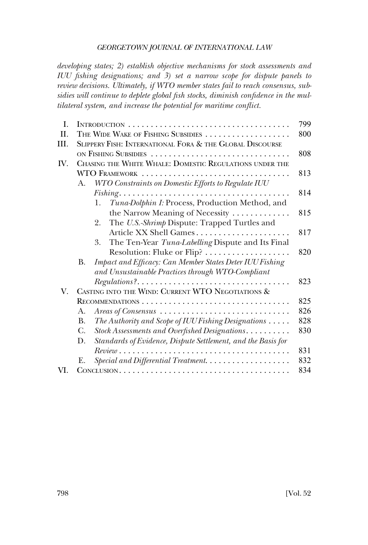*developing states; 2) establish objective mechanisms for stock assessments and IUU fishing designations; and 3) set a narrow scope for dispute panels to review decisions. Ultimately, if WTO member states fail to reach consensus, subsidies will continue to deplete global fish stocks, diminish confidence in the multilateral system, and increase the potential for maritime conflict.* 

| I.   |                                                           |                                                                                                   |     |
|------|-----------------------------------------------------------|---------------------------------------------------------------------------------------------------|-----|
| II.  |                                                           | THE WIDE WAKE OF FISHING SUBSIDIES<br>800                                                         |     |
| III. | SLIPPERY FISH: INTERNATIONAL FORA & THE GLOBAL DISCOURSE  |                                                                                                   |     |
|      | ON FISHING SUBSIDIES                                      |                                                                                                   | 808 |
| IV.  | CHASING THE WHITE WHALE: DOMESTIC REGULATIONS UNDER THE   |                                                                                                   |     |
|      | WTO FRAMEWORK                                             |                                                                                                   | 813 |
|      | WTO Constraints on Domestic Efforts to Regulate IUU<br>А. |                                                                                                   |     |
|      |                                                           |                                                                                                   | 814 |
|      |                                                           | Tuna-Dolphin I: Process, Production Method, and<br>1.                                             |     |
|      |                                                           | the Narrow Meaning of Necessity                                                                   | 815 |
|      |                                                           | The U.S.-Shrimp Dispute: Trapped Turtles and<br>2.                                                |     |
|      |                                                           | Article XX Shell Games                                                                            | 817 |
|      |                                                           | The Ten-Year Tuna-Labelling Dispute and Its Final<br>3.                                           |     |
|      |                                                           |                                                                                                   | 820 |
|      | B.                                                        | Impact and Efficacy: Can Member States Deter IUU Fishing                                          |     |
|      |                                                           | and Unsustainable Practices through WTO-Compliant                                                 |     |
|      |                                                           | $Regulations?\dots \dots \dots \dots \dots \dots \dots \dots \dots \dots \dots \dots \dots \dots$ | 823 |
| V.   | CASTING INTO THE WIND: CURRENT WTO NEGOTIATIONS &         |                                                                                                   |     |
|      |                                                           |                                                                                                   | 825 |
|      | А.                                                        |                                                                                                   | 826 |
|      | <b>B.</b>                                                 | The Authority and Scope of IUU Fishing Designations $\dots$ .                                     | 828 |
|      | C.                                                        | Stock Assessments and Overfished Designations                                                     | 830 |
|      | D.                                                        | Standards of Evidence, Dispute Settlement, and the Basis for                                      |     |
|      |                                                           | $Review \dots \dots \dots \dots \dots \dots \dots \dots \dots \dots \dots \dots \dots \dots$      | 831 |
|      | Е.                                                        | Special and Differential Treatment.                                                               | 832 |
| VI.  |                                                           |                                                                                                   | 834 |
|      |                                                           |                                                                                                   |     |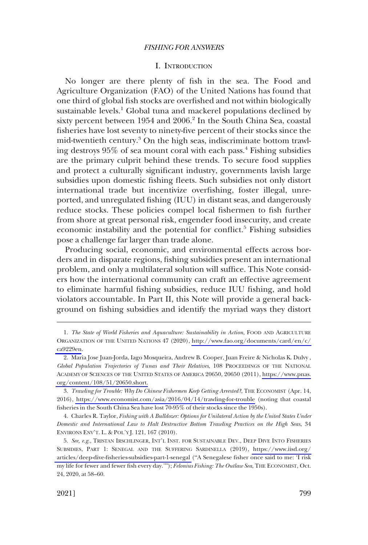# I. INTRODUCTION

<span id="page-2-0"></span>No longer are there plenty of fish in the sea. The Food and Agriculture Organization (FAO) of the United Nations has found that one third of global fish stocks are overfished and not within biologically sustainable levels.<sup>1</sup> Global tuna and mackerel populations declined by sixty percent between 1954 and 2006.<sup>2</sup> In the South China Sea, coastal fisheries have lost seventy to ninety-five percent of their stocks since the mid-twentieth century.<sup>3</sup> On the high seas, indiscriminate bottom trawling destroys 95% of sea mount coral with each pass.4 Fishing subsidies are the primary culprit behind these trends. To secure food supplies and protect a culturally significant industry, governments lavish large subsidies upon domestic fishing fleets. Such subsidies not only distort international trade but incentivize overfishing, foster illegal, unreported, and unregulated fishing (IUU) in distant seas, and dangerously reduce stocks. These policies compel local fishermen to fish further from shore at great personal risk, engender food insecurity, and create economic instability and the potential for conflict.<sup>5</sup> Fishing subsidies pose a challenge far larger than trade alone.

Producing social, economic, and environmental effects across borders and in disparate regions, fishing subsidies present an international problem, and only a multilateral solution will suffice. This Note considers how the international community can craft an effective agreement to eliminate harmful fishing subsidies, reduce IUU fishing, and hold violators accountable. In Part II, this Note will provide a general background on fishing subsidies and identify the myriad ways they distort

4. Charles R. Taylor, *Fishing with A Bulldozer: Options for Unilateral Action by the United States Under Domestic and International Law to Halt Destructive Bottom Trawling Practices on the High Seas*, 34 ENVIRONS ENV'T. L. & POL'Y J. 121, 167 (2010).

<sup>1.</sup> The State of World Fisheries and Aquaculture: Sustainability in Action, FOOD AND AGRICULTURE ORGANIZATION OF THE UNITED NATIONS 47 (2020), [http://www.fao.org/documents/card/en/c/](http://www.fao.org/documents/card/en/c/ca9229en) [ca9229en.](http://www.fao.org/documents/card/en/c/ca9229en)

<sup>2.</sup> Maria Jose Juan-Jorda, Iago Mosqueira, Andrew B. Cooper, Juan Freire & Nicholas K. Dulvy, *Global Population Trajectories of Tunas and Their Relatives*, 108 PROCEEDINGS OF THE NATIONAL ACADEMY OF SCIENCES OF THE UNITED STATES OF AMERICA 20650, 20650 (2011), [https://www.pnas.](https://www.pnas.org/content/108/51/20650.short) [org/content/108/51/20650.short.](https://www.pnas.org/content/108/51/20650.short)

*Trawling for Trouble: Why Do Chinese Fishermen Keep Getting Arrested?*, THE ECONOMIST (Apr. 14, 3. 2016),<https://www.economist.com/asia/2016/04/14/trawling-for-trouble>(noting that coastal fisheries in the South China Sea have lost 70-95% of their stocks since the 1950s).

<sup>5.</sup> See, e.g., TRISTAN IRSCHLINGER, INT'L INST. FOR SUSTAINABLE DEV., DEEP DIVE INTO FISHERIES SUBSIDIES, PART 1: SENEGAL AND THE SUFFERING SARDINELLA (2019), [https://www.iisd.org/](https://www.iisd.org/articles/deep-dive-fisheries-subsidies-part-1-senegal)  [articles/deep-dive-fisheries-subsidies-part-1-senegal](https://www.iisd.org/articles/deep-dive-fisheries-subsidies-part-1-senegal) ("A Senegalese fisher once said to me: 'I risk my life for fewer and fewer fish every day.'"); *Felonius Fishing: The Outlaw Sea*, THE ECONOMIST, Oct. 24, 2020, at 58–60.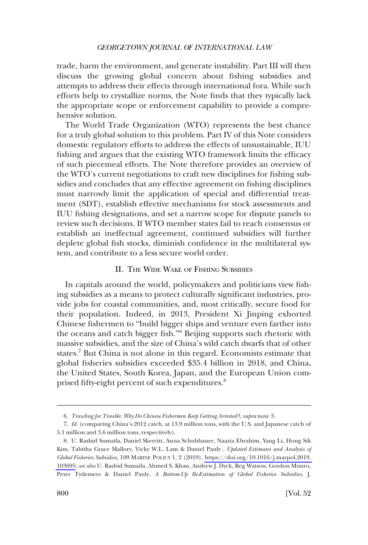<span id="page-3-0"></span>trade, harm the environment, and generate instability. Part III will then discuss the growing global concern about fishing subsidies and attempts to address their effects through international fora. While such efforts help to crystallize norms, the Note finds that they typically lack the appropriate scope or enforcement capability to provide a comprehensive solution.

The World Trade Organization (WTO) represents the best chance for a truly global solution to this problem. Part IV of this Note considers domestic regulatory efforts to address the effects of unsustainable, IUU fishing and argues that the existing WTO framework limits the efficacy of such piecemeal efforts. The Note therefore provides an overview of the WTO's current negotiations to craft new disciplines for fishing subsidies and concludes that any effective agreement on fishing disciplines must narrowly limit the application of special and differential treatment (SDT), establish effective mechanisms for stock assessments and IUU fishing designations, and set a narrow scope for dispute panels to review such decisions. If WTO member states fail to reach consensus or establish an ineffectual agreement, continued subsidies will further deplete global fish stocks, diminish confidence in the multilateral system, and contribute to a less secure world order.

# II. THE WIDE WAKE OF FISHING SUBSIDIES

In capitals around the world, policymakers and politicians view fishing subsidies as a means to protect culturally significant industries, provide jobs for coastal communities, and, most critically, secure food for their population. Indeed, in 2013, President Xi Jinping exhorted Chinese fishermen to "build bigger ships and venture even farther into the oceans and catch bigger fish."6 Beijing supports such rhetoric with massive subsidies, and the size of China's wild catch dwarfs that of other states.7 But China is not alone in this regard. Economists estimate that global fisheries subsidies exceeded \$35.4 billion in 2018, and China, the United States, South Korea, Japan, and the European Union comprised fifty-eight percent of such expenditures.<sup>8</sup>

<sup>6.</sup> *Trawling for Trouble: Why Do Chinese Fishermen Keep Getting Arrested?*, *supra* note 3.

<sup>7.</sup> *Id.* (comparing China's 2012 catch, at 13.9 million tons, with the U.S. and Japanese catch of 5.1 million and 3.6 million tons, respectively).

<sup>8.</sup> U. Rashid Sumaila, Daniel Skerritt, Anna Schuhbauer, Naazia Ebrahim, Yang Li, Hong Sik Kim, Tabitha Grace Mallory, Vicky W.L. Lam & Daniel Pauly , *Updated Estimates and Analysis of Global Fisheries Subsidies*, 109 MARINE POLICY 1, 2 (2019), [https://doi.org/10.1016/j.marpol.2019.](https://doi.org/10.1016/j.marpol.2019.103695)  [103695;](https://doi.org/10.1016/j.marpol.2019.103695) *see also* U. Rashid Sumaila, Ahmed S. Khan, Andrew J. Dyck, Reg Watson, Gordon Munro, Peter Tydemers & Daniel Pauly, *A Bottom-Up Re-Estimation of Global Fisheries Subsidies*, J.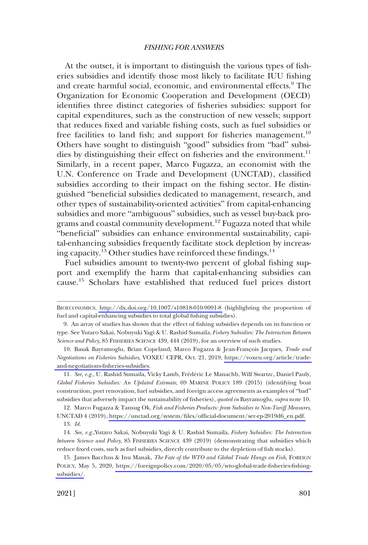At the outset, it is important to distinguish the various types of fisheries subsidies and identify those most likely to facilitate IUU fishing and create harmful social, economic, and environmental effects.<sup>9</sup> The Organization for Economic Cooperation and Development (OECD) identifies three distinct categories of fisheries subsidies: support for capital expenditures, such as the construction of new vessels; support that reduces fixed and variable fishing costs, such as fuel subsidies or free facilities to land fish; and support for fisheries management.<sup>10</sup> Others have sought to distinguish "good" subsidies from "bad" subsidies by distinguishing their effect on fisheries and the environment.<sup>11</sup> Similarly, in a recent paper, Marco Fugazza, an economist with the U.N. Conference on Trade and Development (UNCTAD), classified subsidies according to their impact on the fishing sector. He distinguished "beneficial subsidies dedicated to management, research, and other types of sustainability-oriented activities" from capital-enhancing subsidies and more "ambiguous" subsidies, such as vessel buy-back programs and coastal community development.<sup>12</sup> Fugazza noted that while "beneficial" subsidies can enhance environmental sustainability, capital-enhancing subsidies frequently facilitate stock depletion by increasing capacity.<sup>13</sup> Other studies have reinforced these findings.<sup>14</sup>

Fuel subsidies amount to twenty-two percent of global fishing support and exemplify the harm that capital-enhancing subsidies can cause.15 Scholars have established that reduced fuel prices distort

BIOECONOMICS,<http://dx.doi.org/10.1007/s10818-010-9091-8>(highlighting the proportion of fuel and capital-enhancing subsidies to total global fishing subsidies).

<sup>9.</sup> An array of studies has shown that the effect of fishing subsidies depends on its function or type. See Yutaro Sakai, Nobuyuki Yagi & U. Rashid Sumaila, *Fishery Subsidies: The Interaction Between Science and Policy*, 85 FISHERIES SCIENCE 439, 444 (2019), for an overview of such studies.

<sup>10.</sup> Basak Bayramoglu, Brian Copeland, Marco Fugazza & Jean-François Jacques, *Trade and Negotiations on Fisheries Subsidies*, VOXEU CEPR, Oct. 21, 2019, [https://voxeu.org/article/trade](https://voxeu.org/article/trade-and-negotiations-fisheries-subsidies)[and-negotiations-fisheries-subsidies.](https://voxeu.org/article/trade-and-negotiations-fisheries-subsidies)

<sup>11.</sup> *See, e.g.*, U. Rashid Sumaila, Vicky Lamb, Fre´de´ric Le Manachb, Wilf Swartzc, Daniel Pauly, *Global Fisheries Subsidies: An Updated Estimate*, 69 MARINE POLICY 189 (2015) (identifying boat construction, port renovation, fuel subsidies, and foreign access agreements as examples of "bad" subsidies that adversely impact the sustainability of fisheries), *quoted in* Bayramoglu, *supra* note 10.

<sup>12.</sup> Marco Fugazza & Tansug Ok, *Fish and Fisheries Products: from Subsidies to Non-Tariff Measures*, UNCTAD 4 (2019), [https://unctad.org/system/files/official-document/ser-rp-2019d6\\_en.pdf.](https://unctad.org/system/files/official-document/ser-rp-2019d6_en.pdf) 

<sup>13.</sup> *Id.* 

<sup>14.</sup> *See, e.g.*,Yutaro Sakai, Nobuyuki Yagi & U. Rashid Sumaila, *Fishery Subsidies: The Interaction between Science and Policy*, 85 FISHERIES SCIENCE 439 (2019) (demonstrating that subsidies which reduce fixed costs, such as fuel subsidies, directly contribute to the depletion of fish stocks).

<sup>15.</sup> James Bacchus & Inu Manak, *The Fate of the WTO and Global Trade Hangs on Fish*, FOREIGN POLICY, May 5, 2020, [https://foreignpolicy.com/2020/05/05/wto-global-trade-fisheries-fishing](https://foreignpolicy.com/2020/05/05/wto-global-trade-fisheries-fishing-subsidies/)[subsidies/.](https://foreignpolicy.com/2020/05/05/wto-global-trade-fisheries-fishing-subsidies/)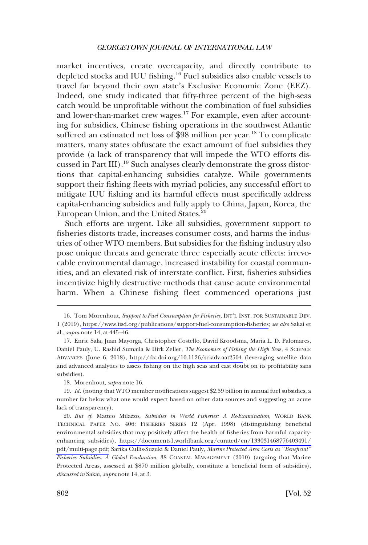market incentives, create overcapacity, and directly contribute to depleted stocks and IUU fishing.<sup>16</sup> Fuel subsidies also enable vessels to travel far beyond their own state's Exclusive Economic Zone (EEZ). Indeed, one study indicated that fifty-three percent of the high-seas catch would be unprofitable without the combination of fuel subsidies and lower-than-market crew wages.<sup>17</sup> For example, even after accounting for subsidies, Chinese fishing operations in the southwest Atlantic suffered an estimated net loss of \$98 million per year.<sup>18</sup> To complicate matters, many states obfuscate the exact amount of fuel subsidies they provide (a lack of transparency that will impede the WTO efforts discussed in Part III).<sup>19</sup> Such analyses clearly demonstrate the gross distortions that capital-enhancing subsidies catalyze. While governments support their fishing fleets with myriad policies, any successful effort to mitigate IUU fishing and its harmful effects must specifically address capital-enhancing subsidies and fully apply to China, Japan, Korea, the European Union, and the United States.<sup>20</sup>

Such efforts are urgent. Like all subsidies, government support to fisheries distorts trade, increases consumer costs, and harms the industries of other WTO members. But subsidies for the fishing industry also pose unique threats and generate three especially acute effects: irrevocable environmental damage, increased instability for coastal communities, and an elevated risk of interstate conflict. First, fisheries subsidies incentivize highly destructive methods that cause acute environmental harm. When a Chinese fishing fleet commenced operations just

18. Morenhout, *supra* note 16.

<sup>16.</sup> Tom Morenhout, *Support to Fuel Consumption for Fisheries*, INT'L INST. FOR SUSTAINABLE DEV. 1 (2019), [https://www.iisd.org/publications/support-fuel-consumption-fisheries;](https://www.iisd.org/publications/support-fuel-consumption-fisheries) *see also* Sakai et al., *supra* note 14, at 445–46.

Enric Sala, Juan Mayorga, Christopher Costello, David Kroodsma, Maria L. D. Palomares, 17. Daniel Pauly, U. Rashid Sumaila & Dirk Zeller, *The Economics of Fishing the High Sea*s, 4 SCIENCE ADVANCES (June 6, 2018), <http://dx.doi.org/10.1126/sciadv.aat2504>(leveraging satellite data and advanced analytics to assess fishing on the high seas and cast doubt on its profitability sans subsidies).

<sup>19.</sup> *Id.* (noting that WTO member notifications suggest \$2.59 billion in annual fuel subsidies, a number far below what one would expect based on other data sources and suggesting an acute lack of transparency).

*But cf.* Matteo Milazzo, *Subsidies in World Fisheries: A Re-Examination*, WORLD BANK 20. TECHNICAL PAPER NO. 406: FISHERIES SERIES 12 (Apr. 1998) (distinguishing beneficial environmental subsidies that may positively affect the health of fisheries from harmful capacityenhancing subsidies), [https://documents1.worldbank.org/curated/en/133031468776403491/](https://documents1.worldbank.org/curated/en/133031468776403491/pdf/multi-page.pdf) [pdf/multi-page.pdf;](https://documents1.worldbank.org/curated/en/133031468776403491/pdf/multi-page.pdf) Sarika Cullis-Suzuki & Daniel Pauly, *Marine Protected Area Costs as "Beneficial" Fisheries Subsidies: A Global Evaluation*, 38 COASTAL MANAGEMENT (2010) (arguing that Marine Protected Areas, assessed at \$870 million globally, constitute a beneficial form of subsidies), *discussed in* Sakai, *supra* note 14, at 3.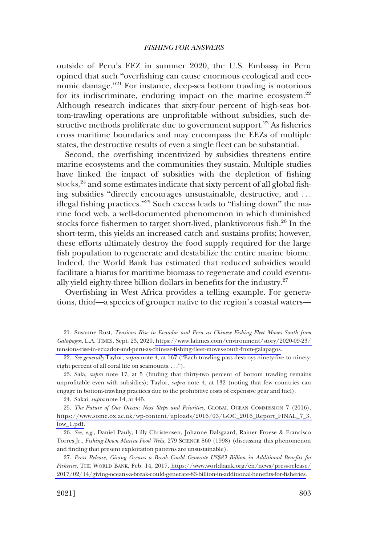outside of Peru's EEZ in summer 2020, the U.S. Embassy in Peru opined that such "overfishing can cause enormous ecological and economic damage."<sup>21</sup> For instance, deep-sea bottom trawling is notorious for its indiscriminate, enduring impact on the marine ecosystem. $22$ Although research indicates that sixty-four percent of high-seas bottom-trawling operations are unprofitable without subsidies, such destructive methods proliferate due to government support. $^{23}$  As fisheries cross maritime boundaries and may encompass the EEZs of multiple states, the destructive results of even a single fleet can be substantial.

Second, the overfishing incentivized by subsidies threatens entire marine ecosystems and the communities they sustain. Multiple studies have linked the impact of subsidies with the depletion of fishing stocks, $^{24}$  and some estimates indicate that sixty percent of all global fishing subsidies "directly encourages unsustainable, destructive, and . . . illegal fishing practices."<sup>25</sup> Such excess leads to "fishing down" the marine food web, a well-documented phenomenon in which diminished stocks force fishermen to target short-lived, planktivorous fish.<sup>26</sup> In the short-term, this yields an increased catch and sustains profits; however, these efforts ultimately destroy the food supply required for the large fish population to regenerate and destabilize the entire marine biome. Indeed, the World Bank has estimated that reduced subsidies would facilitate a hiatus for maritime biomass to regenerate and could eventually yield eighty-three billion dollars in benefits for the industry. $27$ 

Overfishing in West Africa provides a telling example. For generations, thiof—a species of grouper native to the region's coastal waters—

<sup>21.</sup> Susanne Rust, *Tensions Rise in Ecuador and Peru as Chinese Fishing Fleet Moves South from Galapagos*, L.A. TIMES, Sept. 23, 2020, [https://www.latimes.com/environment/story/2020-09-23/](https://www.latimes.com/environment/story/2020-09-23/tensions-rise-in-ecuador-and-peru-as-chinese-fishing-fleet-moves-south-from-galapagos)  [tensions-rise-in-ecuador-and-peru-as-chinese-fishing-fleet-moves-south-from-galapagos.](https://www.latimes.com/environment/story/2020-09-23/tensions-rise-in-ecuador-and-peru-as-chinese-fishing-fleet-moves-south-from-galapagos)

<sup>22.</sup> *See generally* Taylor, *supra* note 4, at 167 ("Each trawling pass destroys ninety-five to ninetyeight percent of all coral life on seamounts. . . .").

<sup>23.</sup> Sala, *supra* note 17, at 5 (finding that thirty-two percent of bottom trawling remains unprofitable even with subsidies); Taylor, *supra* note 4, at 132 (noting that few countries can engage in bottom-trawling practices due to the prohibitive costs of expensive gear and fuel).

<sup>24.</sup> Sakai, *supra* note 14, at 445.

<sup>25.</sup> The Future of Our Ocean: Next Steps and Priorities, GLOBAL OCEAN COMMISSION 7 (2016), [https://www.some.ox.ac.uk/wp-content/uploads/2016/03/GOC\\_2016\\_Report\\_FINAL\\_7\\_3.](https://www.some.ox.ac.uk/wp-content/uploads/2016/03/GOC_2016_Report_FINAL_7_3.low_1.pdf)  [low\\_1.pdf.](https://www.some.ox.ac.uk/wp-content/uploads/2016/03/GOC_2016_Report_FINAL_7_3.low_1.pdf)

<sup>26.</sup> *See, e.g.*, Daniel Pauly, Lilly Christensen, Johanne Dalsgaard, Rainer Froese & Francisco Torres Jr., *Fishing Down Marine Food Webs*, 279 SCIENCE 860 (1998) (discussing this phenomenon and finding that present exploitation patterns are unsustainable).

<sup>27.</sup> Press Release, Giving Oceans a Break Could Generate US\$83 Billion in Additional Benefits for *Fisheries*, THE WORLD BANK, Feb. 14, 2017, [https://www.worldbank.org/en/news/press-release/](https://www.worldbank.org/en/news/press-release/2017/02/14/giving-oceans-a-break-could-generate-83-billion-in-additional-benefits-for-fisheries) [2017/02/14/giving-oceans-a-break-could-generate-83-billion-in-additional-benefits-for-fisheries.](https://www.worldbank.org/en/news/press-release/2017/02/14/giving-oceans-a-break-could-generate-83-billion-in-additional-benefits-for-fisheries)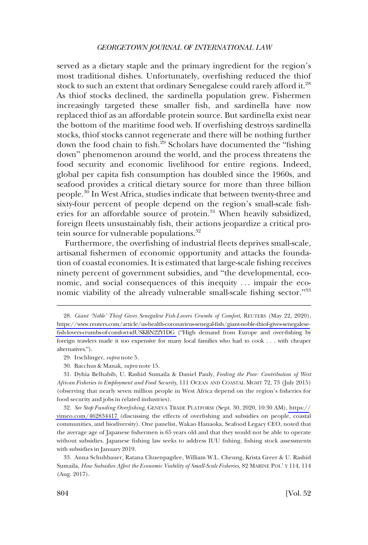served as a dietary staple and the primary ingredient for the region's most traditional dishes. Unfortunately, overfishing reduced the thiof stock to such an extent that ordinary Senegalese could rarely afford it.<sup>28</sup> As thiof stocks declined, the sardinella population grew. Fishermen increasingly targeted these smaller fish, and sardinella have now replaced thiof as an affordable protein source. But sardinella exist near the bottom of the maritime food web. If overfishing destroys sardinella stocks, thiof stocks cannot regenerate and there will be nothing further down the food chain to fish. $^{29}$  Scholars have documented the "fishing" down" phenomenon around the world, and the process threatens the food security and economic livelihood for entire regions. Indeed, global per capita fish consumption has doubled since the 1960s, and seafood provides a critical dietary source for more than three billion people.30 In West Africa, studies indicate that between twenty-three and sixty-four percent of people depend on the region's small-scale fisheries for an affordable source of protein.<sup>31</sup> When heavily subsidized, foreign fleets unsustainably fish, their actions jeopardize a critical protein source for vulnerable populations.<sup>32</sup>

Furthermore, the overfishing of industrial fleets deprives small-scale, artisanal fishermen of economic opportunity and attacks the foundation of coastal economies. It is estimated that large-scale fishing receives ninety percent of government subsidies, and "the developmental, economic, and social consequences of this inequity . . . impair the economic viability of the already vulnerable small-scale fishing sector."<sup>33</sup>

- 29. Irschlinger, *supra* note 5.
- 30. Bacchus & Manak, *supra* note 15.

31. Dyhia Belhabib, U. Rashid Sumaila & Daniel Pauly, *Feeding the Poor: Contribution of West African Fisheries to Employment and Food Security*, 111 OCEAN AND COASTAL MGMT 72, 73 (July 2015) (observing that nearly seven million people in West Africa depend on the region's fisheries for food security and jobs in related industries).

*See Stop Funding Overfishing*, GENEVA TRADE PLATFORM (Sept. 30, 2020, 10:30 AM), [https://](https://vimeo.com/462834417) 32. [vimeo.com/462834417](https://vimeo.com/462834417) (discussing the effects of overfishing and subsidies on people, coastal communities, and biodiversity). One panelist, Wakao Hanaoka, Seafood Legacy CEO, noted that the average age of Japanese fishermen is 65 years old and that they would not be able to operate without subsidies. Japanese fishing law seeks to address IUU fishing, fishing stock assessments with subsidies in January 2019.

33. Anna Schuhbauer, Ratana Chuenpagdee, William W.L. Cheung, Krista Greer & U. Rashid Sumaila, *How Subsidies Affect the Economic Viability of Small-Scale Fisheries*, 82 MARINE POL' Y 114, 114 (Aug. 2017).

<sup>28.</sup> Giant 'Noble' Thiof Gives Senegalese Fish-Lovers Crumbs of Comfort, REUTERS (May 22, 2020), [https://www.reuters.com/article/us-health-coronavirus-senegal-fish/giant-noble-thiof-gives-senegalese](https://www.reuters.com/article/us-health-coronavirus-senegal-fish/giant-noble-thiof-gives-senegalese-fish-lovers-crumbs-of-comfort-idUSKBN22Y1DG)[fish-lovers-crumbs-of-comfort-idUSKBN22Y1DG](https://www.reuters.com/article/us-health-coronavirus-senegal-fish/giant-noble-thiof-gives-senegalese-fish-lovers-crumbs-of-comfort-idUSKBN22Y1DG) ("High demand from Europe and over-fishing by foreign trawlers made it too expensive for many local families who had to cook . . . with cheaper alternatives.").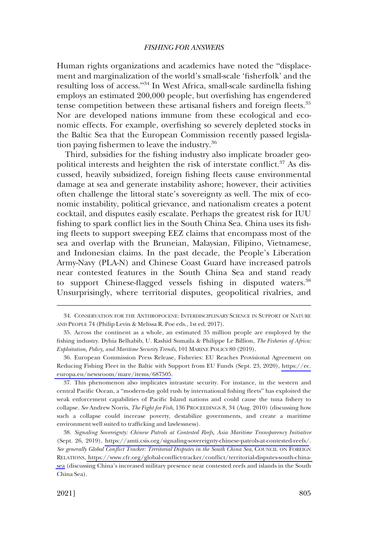Human rights organizations and academics have noted the "displacement and marginalization of the world's small-scale 'fisherfolk' and the resulting loss of access."34 In West Africa, small-scale sardinella fishing employs an estimated 200,000 people, but overfishing has engendered tense competition between these artisanal fishers and foreign fleets.<sup>35</sup> Nor are developed nations immune from these ecological and economic effects. For example, overfishing so severely depleted stocks in the Baltic Sea that the European Commission recently passed legislation paying fishermen to leave the industry.<sup>36</sup>

Third, subsidies for the fishing industry also implicate broader geopolitical interests and heighten the risk of interstate conflict.<sup>37</sup> As discussed, heavily subsidized, foreign fishing fleets cause environmental damage at sea and generate instability ashore; however, their activities often challenge the littoral state's sovereignty as well. The mix of economic instability, political grievance, and nationalism creates a potent cocktail, and disputes easily escalate. Perhaps the greatest risk for IUU fishing to spark conflict lies in the South China Sea. China uses its fishing fleets to support sweeping EEZ claims that encompass most of the sea and overlap with the Bruneian, Malaysian, Filipino, Vietnamese, and Indonesian claims. In the past decade, the People's Liberation Army-Navy (PLA-N) and Chinese Coast Guard have increased patrols near contested features in the South China Sea and stand ready to support Chinese-flagged vessels fishing in disputed waters.<sup>38</sup> Unsurprisingly, where territorial disputes, geopolitical rivalries, and

37. This phenomenon also implicates intrastate security. For instance, in the western and central Pacific Ocean, a "modern-day gold rush by international fishing fleets" has exploited the weak enforcement capabilities of Pacific Island nations and could cause the tuna fishery to collapse. *See* Andrew Norris, *The Fight for Fish*, 136 PROCEEDINGS 8, 34 (Aug. 2010) (discussing how such a collapse could increase poverty, destabilize governments, and create a maritime environment well suited to trafficking and lawlessness).

*Signaling Sovereignty: Chinese Patrols at Contested Reefs, Asia Maritime Transparency Initiative*  38. (Sept. 26, 2019), [https://amti.csis.org/signaling-sovereignty-chinese-patrols-at-contested-reefs/.](https://amti.csis.org/signaling-sovereignty-chinese-patrols-at-contested-reefs/) *See generally Global Conflict Tracker: Territorial Disputes in the South China Sea*, COUNCIL ON FOREIGN RELATIONS, [https://www.cfr.org/global-conflict-tracker/conflict/territorial-disputes-south-china](https://www.cfr.org/global-conflict-tracker/conflict/territorial-disputes-south-china-sea)[sea](https://www.cfr.org/global-conflict-tracker/conflict/territorial-disputes-south-china-sea) (discussing China's increased military presence near contested reefs and islands in the South China Sea).

<sup>34.</sup> CONSERVATION FOR THE ANTHROPOCENE: INTERDISCIPLINARY SCIENCE IN SUPPORT OF NATURE AND PEOPLE 74 (Philip Levin & Melissa R. Poe eds., 1st ed. 2017).

<sup>35.</sup> Across the continent as a whole, an estimated 35 million people are employed by the fishing industry. Dyhia Belhabib, U. Rashid Sumaila & Philippe Le Billion, *The Fisheries of Africa: Exploitation, Policy, and Maritime Security Trends*, 101 MARINE POLICY 80 (2019).

European Commission Press Release, Fisheries: EU Reaches Provisional Agreement on 36. Reducing Fishing Fleet in the Baltic with Support from EU Funds (Sept. 23, 2020), [https://ec.](https://ec.europa.eu/newsroom/mare/items/687505)  [europa.eu/newsroom/mare/items/687505](https://ec.europa.eu/newsroom/mare/items/687505).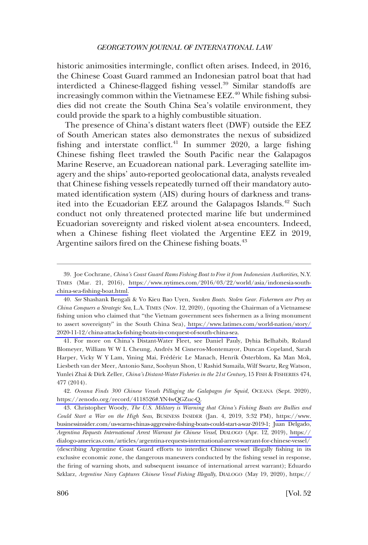historic animosities intermingle, conflict often arises. Indeed, in 2016, the Chinese Coast Guard rammed an Indonesian patrol boat that had interdicted a Chinese-flagged fishing vessel.<sup>39</sup> Similar standoffs are increasingly common within the Vietnamese EEZ.<sup>40</sup> While fishing subsidies did not create the South China Sea's volatile environment, they could provide the spark to a highly combustible situation.

The presence of China's distant waters fleet (DWF) outside the EEZ of South American states also demonstrates the nexus of subsidized fishing and interstate conflict.<sup>41</sup> In summer 2020, a large fishing Chinese fishing fleet trawled the South Pacific near the Galapagos Marine Reserve, an Ecuadorean national park. Leveraging satellite imagery and the ships' auto-reported geolocational data, analysts revealed that Chinese fishing vessels repeatedly turned off their mandatory automated identification system (AIS) during hours of darkness and transited into the Ecuadorian EEZ around the Galapagos Islands.<sup>42</sup> Such conduct not only threatened protected marine life but undermined Ecuadorian sovereignty and risked violent at-sea encounters. Indeed, when a Chinese fishing fleet violated the Argentine EEZ in 2019, Argentine sailors fired on the Chinese fishing boats.<sup>43</sup>

41. For more on China's Distant-Water Fleet, see Daniel Pauly, Dyhia Belhabib, Roland Blomeyer, William W W L Cheung, Andrés M Cisneros-Montemayor, Duncan Copeland, Sarah Harper, Vicky W Y Lam, Yining Mai, Frédéric Le Manach, Henrik Österblom, Ka Man Mok, Liesbeth van der Meer, Antonio Sanz, Soohyun Shon, U Rashid Sumaila, Wilf Swartz, Reg Watson, Yunlei Zhai & Dirk Zeller, *China's Distant-Water Fisheries in the 21st Century*, 15 FISH & FISHERIES 474, 477 (2014).

*Oceana Finds 300 Chinese Vessels Pillaging the Galapagos for Squid*, OCEANA (Sept. 2020), 42. [https://zenodo.org/record/4118526#.YN4wQGZuc-Q.](https://zenodo.org/record/4118526#.YN4wQGZuc-Q)

43. Christopher Woody, *The U.S. Military is Warning that China's Fishing Boats are Bullies and Could Start a War on the High Seas*, BUSINESS INSIDER (Jan. 4, 2019, 3:32 PM), [https://www.](https://www.businessinsider.com/us-warns-chinas-aggressive-fishing-boats-could-start-a-war-2019-1)  [businessinsider.com/us-warns-chinas-aggressive-fishing-boats-could-start-a-war-2019-1;](https://www.businessinsider.com/us-warns-chinas-aggressive-fishing-boats-could-start-a-war-2019-1) Juan Delgado, *Argentina Requests International Arrest Warrant for Chinese Vessel*, DIALOGO (Apr. 12, 2019), [https://](https://dialogo-americas.com/articles/argentina-requests-international-arrest-warrant-for-chinese-vessel/)  [dialogo-americas.com/articles/argentina-requests-international-arrest-warrant-for-chinese-vessel/](https://dialogo-americas.com/articles/argentina-requests-international-arrest-warrant-for-chinese-vessel/)  (describing Argentine Coast Guard efforts to interdict Chinese vessel illegally fishing in its exclusive economic zone, the dangerous maneuvers conducted by the fishing vessel in response, the firing of warning shots, and subsequent issuance of international arrest warrant); Eduardo Szklarz, *Argentine Navy Captures Chinese Vessel Fishing Illegally*, DIALOGO (May 19, 2020), https://

Joe Cochrane, *China's Coast Guard Rams Fishing Boat to Free it from Indonesian Authorities*, N.Y. 39. TIMES (Mar. 21, 2016), [https://www.nytimes.com/2016/03/22/world/asia/indonesia-south](https://www.nytimes.com/2016/03/22/world/asia/indonesia-south-china-sea-fishing-boat.html)[china-sea-fishing-boat.html.](https://www.nytimes.com/2016/03/22/world/asia/indonesia-south-china-sea-fishing-boat.html)

*See* Shashank Bengali & Vo Kieu Bao Uyen, *Sunken Boats. Stolen Gear. Fishermen are Prey as*  40. *China Conquers a Strategic Sea*, L.A. TIMES (Nov. 12, 2020), (quoting the Chairman of a Vietnamese fishing union who claimed that "the Vietnam government sees fishermen as a living monument to assert sovereignty" in the South China Sea), [https://www.latimes.com/world-nation/story/](https://www.latimes.com/world-nation/story/2020-11-12/china-attacks-fishing-boats-in-conquest-of-south-china-sea)  [2020-11-12/china-attacks-fishing-boats-in-conquest-of-south-china-sea.](https://www.latimes.com/world-nation/story/2020-11-12/china-attacks-fishing-boats-in-conquest-of-south-china-sea)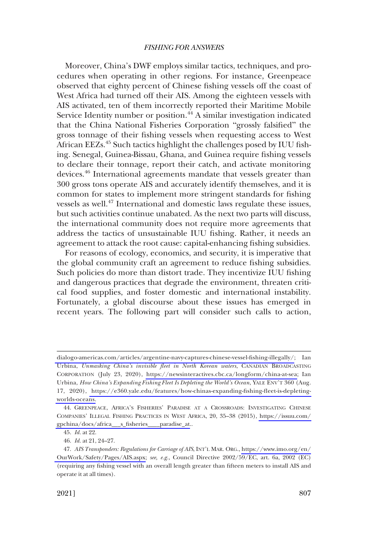Moreover, China's DWF employs similar tactics, techniques, and procedures when operating in other regions. For instance, Greenpeace observed that eighty percent of Chinese fishing vessels off the coast of West Africa had turned off their AIS. Among the eighteen vessels with AIS activated, ten of them incorrectly reported their Maritime Mobile Service Identity number or position.<sup>44</sup> A similar investigation indicated that the China National Fisheries Corporation "grossly falsified" the gross tonnage of their fishing vessels when requesting access to West African EEZs.<sup>45</sup> Such tactics highlight the challenges posed by IUU fishing. Senegal, Guinea-Bissau, Ghana, and Guinea require fishing vessels to declare their tonnage, report their catch, and activate monitoring devices.46 International agreements mandate that vessels greater than 300 gross tons operate AIS and accurately identify themselves, and it is common for states to implement more stringent standards for fishing vessels as well.<sup>47</sup> International and domestic laws regulate these issues, but such activities continue unabated. As the next two parts will discuss, the international community does not require more agreements that address the tactics of unsustainable IUU fishing. Rather, it needs an agreement to attack the root cause: capital-enhancing fishing subsidies.

For reasons of ecology, economics, and security, it is imperative that the global community craft an agreement to reduce fishing subsidies. Such policies do more than distort trade. They incentivize IUU fishing and dangerous practices that degrade the environment, threaten critical food supplies, and foster domestic and international instability. Fortunately, a global discourse about these issues has emerged in recent years. The following part will consider such calls to action,

[dialogo-americas.com/articles/argentine-navy-captures-chinese-vessel-fishing-illegally/;](https://dialogo-americas.com/articles/argentine-navy-captures-chinese-vessel-fishing-illegally/) Ian Urbina, *Unmasking China's invisible fleet in North Korean waters*, CANADIAN BROADCASTING CORPORATION (July 23, 2020), [https://newsinteractives.cbc.ca/longform/china-at-sea;](https://newsinteractives.cbc.ca/longform/china-at-sea) Ian Urbina, *How China's Expanding Fishing Fleet Is Depleting the World's Ocean*, YALE ENV'T 360 (Aug. 17, 2020), [https://e360.yale.edu/features/how-chinas-expanding-fishing-fleet-is-depleting](https://e360.yale.edu/features/how-chinas-expanding-fishing-fleet-is-depleting-worlds-oceans)[worlds-oceans.](https://e360.yale.edu/features/how-chinas-expanding-fishing-fleet-is-depleting-worlds-oceans)

GREENPEACE, AFRICA'S FISHERIES' PARADISE AT A CROSSROADS: INVESTIGATING CHINESE 44. COMPANIES' ILLEGAL FISHING PRACTICES IN WEST AFRICA, 20, 35–38 (2015), [https://issuu.com/](https://issuu.com/gpchina/docs/africa___s_fisheries____paradise_at) [gpchina/docs/africa\\_\\_\\_s\\_fisheries\\_\\_\\_\\_paradise\\_at.](https://issuu.com/gpchina/docs/africa___s_fisheries____paradise_at).

<sup>45.</sup> *Id.* at 22.

<sup>46.</sup> *Id.* at 21, 24–27.

*AIS Transponders: Regulations for Carriage of AIS*, INT'L MAR. ORG., [https://www.imo.org/en/](https://www.imo.org/en/OurWork/Safety/Pages/AIS.aspx)  47. [OurWork/Safety/Pages/AIS.aspx;](https://www.imo.org/en/OurWork/Safety/Pages/AIS.aspx) *see, e.g.*, Council Directive 2002/59/EC, art. 6a, 2002 (EC) (requiring any fishing vessel with an overall length greater than fifteen meters to install AIS and operate it at all times).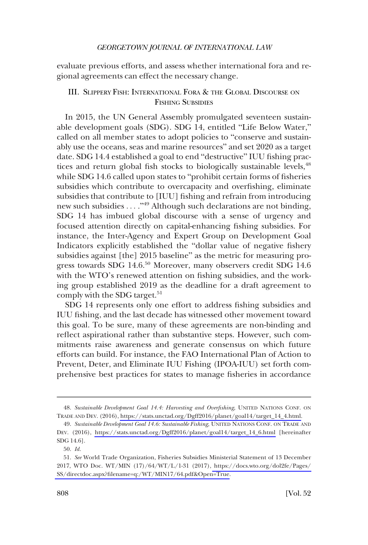<span id="page-11-0"></span>evaluate previous efforts, and assess whether international fora and regional agreements can effect the necessary change.

# III. SLIPPERY FISH: INTERNATIONAL FORA & THE GLOBAL DISCOURSE ON FISHING SUBSIDIES

In 2015, the UN General Assembly promulgated seventeen sustainable development goals (SDG). SDG 14, entitled "Life Below Water," called on all member states to adopt policies to "conserve and sustainably use the oceans, seas and marine resources" and set 2020 as a target date. SDG 14.4 established a goal to end "destructive" IUU fishing practices and return global fish stocks to biologically sustainable levels, <sup>48</sup> while SDG 14.6 called upon states to "prohibit certain forms of fisheries subsidies which contribute to overcapacity and overfishing, eliminate subsidies that contribute to [IUU] fishing and refrain from introducing new such subsidies ...."<sup>49</sup> Although such declarations are not binding, SDG 14 has imbued global discourse with a sense of urgency and focused attention directly on capital-enhancing fishing subsidies. For instance, the Inter-Agency and Expert Group on Development Goal Indicators explicitly established the "dollar value of negative fishery subsidies against [the] 2015 baseline" as the metric for measuring progress towards SDG 14.6.<sup>50</sup> Moreover, many observers credit SDG 14.6 with the WTO's renewed attention on fishing subsidies, and the working group established 2019 as the deadline for a draft agreement to comply with the SDG target. $51$ 

SDG 14 represents only one effort to address fishing subsidies and IUU fishing, and the last decade has witnessed other movement toward this goal. To be sure, many of these agreements are non-binding and reflect aspirational rather than substantive steps. However, such commitments raise awareness and generate consensus on which future efforts can build. For instance, the FAO International Plan of Action to Prevent, Deter, and Eliminate IUU Fishing (IPOA-IUU) set forth comprehensive best practices for states to manage fisheries in accordance

*Sustainable Development Goal 14.4: Harvesting and Overfishing*, UNITED NATIONS CONF. ON 48. TRADE AND DEV. (2016), [https://stats.unctad.org/Dgff2016/planet/goal14/target\\_14\\_4.html.](https://stats.unctad.org/Dgff2016/planet/goal14/target_14_4.html)

*Sustainable Development Goal 14.6: Sustainable Fishing*, UNITED NATIONS CONF. ON TRADE AND 49. DEV. (2016), [https://stats.unctad.org/Dgff2016/planet/goal14/target\\_14\\_6.html](https://stats.unctad.org/Dgff2016/planet/goal14/target_14_6.html) [hereinafter SDG 14.6].

<sup>50.</sup> *Id.* 

*See* World Trade Organization, Fisheries Subsidies Ministerial Statement of 13 December 51. 2017, WTO Doc. WT/MIN (17)/64/WT/L/1-31 (2017), [https://docs.wto.org/dol2fe/Pages/](https://docs.wto.org/dol2fe/Pages/SS/directdoc.aspx?filename=q:/WT/MIN17/64.pdf&Open=True)  [SS/directdoc.aspx?filename=q:/WT/MIN17/64.pdf&Open=True](https://docs.wto.org/dol2fe/Pages/SS/directdoc.aspx?filename=q:/WT/MIN17/64.pdf&Open=True).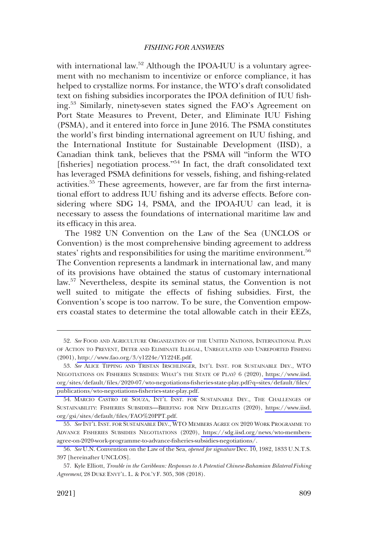with international law.<sup>52</sup> Although the IPOA-IUU is a voluntary agreement with no mechanism to incentivize or enforce compliance, it has helped to crystallize norms. For instance, the WTO's draft consolidated text on fishing subsidies incorporates the IPOA definition of IUU fishing.53 Similarly, ninety-seven states signed the FAO's Agreement on Port State Measures to Prevent, Deter, and Eliminate IUU Fishing (PSMA), and it entered into force in June 2016. The PSMA constitutes the world's first binding international agreement on IUU fishing, and the International Institute for Sustainable Development (IISD), a Canadian think tank, believes that the PSMA will "inform the WTO [fisheries] negotiation process."<sup>54</sup> In fact, the draft consolidated text has leveraged PSMA definitions for vessels, fishing, and fishing-related activities.<sup>55</sup> These agreements, however, are far from the first international effort to address IUU fishing and its adverse effects. Before considering where SDG 14, PSMA, and the IPOA-IUU can lead, it is necessary to assess the foundations of international maritime law and its efficacy in this area.

The 1982 UN Convention on the Law of the Sea (UNCLOS or Convention) is the most comprehensive binding agreement to address states' rights and responsibilities for using the maritime environment.<sup>56</sup> The Convention represents a landmark in international law, and many of its provisions have obtained the status of customary international law.57 Nevertheless, despite its seminal status, the Convention is not well suited to mitigate the effects of fishing subsidies. First, the Convention's scope is too narrow. To be sure, the Convention empowers coastal states to determine the total allowable catch in their EEZs,

<sup>52.</sup> See FOOD AND AGRICULTURE ORGANIZATION OF THE UNITED NATIONS, INTERNATIONAL PLAN OF ACTION TO PREVENT, DETER AND ELIMINATE ILLEGAL, UNREGULATED AND UNREPORTED FISHING (2001), [http://www.fao.org/3/y1224e/Y1224E.pdf.](http://www.fao.org/3/y1224e/Y1224E.pdf)

<sup>53.</sup> See ALICE TIPPING AND TRISTAN IRSCHLINGER, INT'L INST. FOR SUSTAINABLE DEV., WTO NEGOTIATIONS ON FISHERIES SUBSIDIES: WHAT'S THE STATE OF PLAY? 6 (2020), [https://www.iisd.](https://www.iisd.org/sites/default/files/2020-07/wto-negotiations-fisheries-state-play.pdf?q=sites/default/files/ publications/wto-negotiations-fisheries-state-play.pdf) [org/sites/default/files/2020-07/wto-negotiations-fisheries-state-play.pdf?q=sites/default/files/](https://www.iisd.org/sites/default/files/2020-07/wto-negotiations-fisheries-state-play.pdf?q=sites/default/files/ publications/wto-negotiations-fisheries-state-play.pdf)  [publications/wto-negotiations-fisheries-state-play.pdf.](https://www.iisd.org/sites/default/files/2020-07/wto-negotiations-fisheries-state-play.pdf?q=sites/default/files/ publications/wto-negotiations-fisheries-state-play.pdf)

<sup>54.</sup> MARCIO CASTRO DE SOUZA, INT'L INST. FOR SUSTAINABLE DEV., THE CHALLENGES OF SUSTAINABILITY: FISHERIES SUBSIDIES—BRIEFING FOR NEW DELEGATES (2020), [https://www.iisd.](https://www.iisd.org/gsi/sites/default/files/FAO%20PPT.pdf)  [org/gsi/sites/default/files/FAO%20PPT.pdf.](https://www.iisd.org/gsi/sites/default/files/FAO%20PPT.pdf)

*See* INT'L INST. FOR SUSTAINABLE DEV., WTO MEMBERS AGREE ON 2020 WORK PROGRAMME TO 55. ADVANCE FISHERIES SUBSIDIES NEGOTIATIONS (2020), [https://sdg.iisd.org/news/wto-members](https://sdg.iisd.org/news/wto-members-agree-on-2020-work-programme-to-advance-fisheries-subsidies-negotiations/)[agree-on-2020-work-programme-to-advance-fisheries-subsidies-negotiations/](https://sdg.iisd.org/news/wto-members-agree-on-2020-work-programme-to-advance-fisheries-subsidies-negotiations/).

<sup>56.</sup> *See* U.N. Convention on the Law of the Sea, *opened for signature* Dec. 10, 1982, 1833 U.N.T.S. 397 [hereinafter UNCLOS].

<sup>57.</sup> Kyle Elliott, *Trouble in the Caribbean: Responses to A Potential Chinese-Bahamian Bilateral Fishing Agreement*, 28 DUKE ENVT'L. L. & POL'Y F. 305, 308 (2018).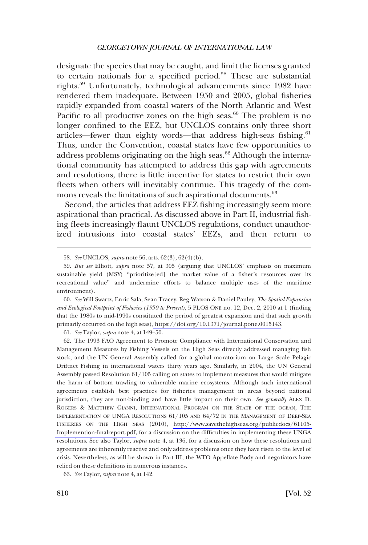designate the species that may be caught, and limit the licenses granted to certain nationals for a specified period.<sup>58</sup> These are substantial rights.59 Unfortunately, technological advancements since 1982 have rendered them inadequate. Between 1950 and 2005, global fisheries rapidly expanded from coastal waters of the North Atlantic and West Pacific to all productive zones on the high seas.<sup>60</sup> The problem is no longer confined to the EEZ, but UNCLOS contains only three short articles—fewer than eighty words—that address high-seas fishing. $61$ Thus, under the Convention, coastal states have few opportunities to address problems originating on the high seas. $62$  Although the international community has attempted to address this gap with agreements and resolutions, there is little incentive for states to restrict their own fleets when others will inevitably continue. This tragedy of the commons reveals the limitations of such aspirational documents.<sup>63</sup>

Second, the articles that address EEZ fishing increasingly seem more aspirational than practical. As discussed above in Part II, industrial fishing fleets increasingly flaunt UNCLOS regulations, conduct unauthorized intrusions into coastal states' EEZs, and then return to

*See* Will Swartz, Enric Sala, Sean Tracey, Reg Watson & Daniel Pauley, *The Spatial Expansion*  60. *and Ecological Footprint of Fisheries (1950 to Present)*, 5 PLOS ONE no. 12, Dec. 2, 2010 at 1 (finding that the 1980s to mid-1990s constituted the period of greatest expansion and that such growth primarily occurred on the high seas),<https://doi.org/10.1371/journal.pone.0015143>.

61. *See* Taylor, *supra* note 4, at 149–50.

The 1993 FAO Agreement to Promote Compliance with International Conservation and 62. Management Measures by Fishing Vessels on the High Seas directly addressed managing fish stock, and the UN General Assembly called for a global moratorium on Large Scale Pelagic Driftnet Fishing in international waters thirty years ago. Similarly, in 2004, the UN General Assembly passed Resolution 61/105 calling on states to implement measures that would mitigate the harm of bottom trawling to vulnerable marine ecosystems. Although such international agreements establish best practices for fisheries management in areas beyond national jurisdiction, they are non-binding and have little impact on their own. *See generally* ALEX D. ROGERS & MATTHEW GIANNI, INTERNATIONAL PROGRAM ON THE STATE OF THE OCEAN, THE IMPLEMENTATION OF UNGA RESOLUTIONS 61/105 AND 64/72 IN THE MANAGEMENT OF DEEP-SEA FISHERIES ON THE HIGH SEAS (2010), [http://www.savethehighseas.org/publicdocs/61105-](http://www.savethehighseas.org/publicdocs/61105-Implemention-finalreport.pdf)  [Implemention-finalreport.pdf,](http://www.savethehighseas.org/publicdocs/61105-Implemention-finalreport.pdf) for a discussion on the difficulties in implementing these UNGA resolutions. See also Taylor, *supra* note 4, at 136, for a discussion on how these resolutions and agreements are inherently reactive and only address problems once they have risen to the level of crisis. Nevertheless, as will be shown in Part III, the WTO Appellate Body and negotiators have relied on these definitions in numerous instances.

63. *See* Taylor, *supra* note 4, at 142.

<sup>58.</sup> *See* UNCLOS, *supra* note 56, arts. 62(3), 62(4)(b).

<sup>59.</sup> *But see* Elliott, *supra* note 57, at 305 (arguing that UNCLOS' emphasis on maximum sustainable yield (MSY) "prioritize[ed] the market value of a fisher's resources over its recreational value" and undermine efforts to balance multiple uses of the maritime environment).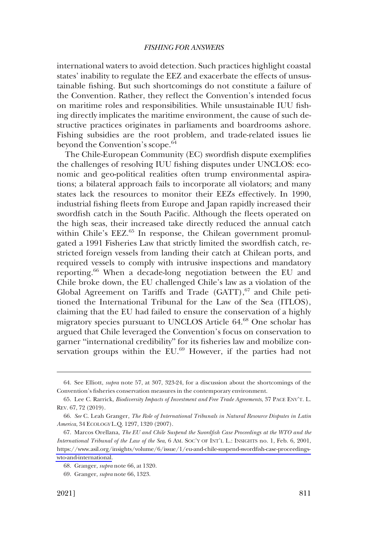international waters to avoid detection. Such practices highlight coastal states' inability to regulate the EEZ and exacerbate the effects of unsustainable fishing. But such shortcomings do not constitute a failure of the Convention. Rather, they reflect the Convention's intended focus on maritime roles and responsibilities. While unsustainable IUU fishing directly implicates the maritime environment, the cause of such destructive practices originates in parliaments and boardrooms ashore. Fishing subsidies are the root problem, and trade-related issues lie beyond the Convention's scope.<sup>64</sup>

The Chile-European Community (EC) swordfish dispute exemplifies the challenges of resolving IUU fishing disputes under UNCLOS: economic and geo-political realities often trump environmental aspirations; a bilateral approach fails to incorporate all violators; and many states lack the resources to monitor their EEZs effectively. In 1990, industrial fishing fleets from Europe and Japan rapidly increased their swordfish catch in the South Pacific. Although the fleets operated on the high seas, their increased take directly reduced the annual catch within Chile's EEZ.<sup>65</sup> In response, the Chilean government promulgated a 1991 Fisheries Law that strictly limited the swordfish catch, restricted foreign vessels from landing their catch at Chilean ports, and required vessels to comply with intrusive inspections and mandatory reporting.66 When a decade-long negotiation between the EU and Chile broke down, the EU challenged Chile's law as a violation of the Global Agreement on Tariffs and Trade (GATT),<sup>67</sup> and Chile petitioned the International Tribunal for the Law of the Sea (ITLOS), claiming that the EU had failed to ensure the conservation of a highly migratory species pursuant to UNCLOS Article 64.68 One scholar has argued that Chile leveraged the Convention's focus on conservation to garner "international credibility" for its fisheries law and mobilize conservation groups within the EU.<sup>69</sup> However, if the parties had not

<sup>64.</sup> See Elliott, *supra* note 57, at 307, 323-24, for a discussion about the shortcomings of the Convention's fisheries conservation measures in the contemporary environment.

<sup>65.</sup> Lee C. Rarrick, *Biodiversity Impacts of Investment and Free Trade Agreements*, 37 PACE ENV'T. L. REV. 67, 72 (2019).

<sup>66.</sup> *See* C. Leah Granger, *The Role of International Tribunals in Natural Resource Disputes in Latin America*, 34 ECOLOGY L.Q. 1297, 1320 (2007).

<sup>67.</sup> Marcos Orellana, *The EU and Chile Suspend the Swordfish Case Proceedings at the WTO and the International Tribunal of the Law of the Sea*, 6 AM. SOC'Y OF INT'L L.: INSIGHTS no. 1, Feb. 6, 2001, [https://www.asil.org/insights/volume/6/issue/1/eu-and-chile-suspend-swordfish-case-proceedings](https://www.asil.org/insights/volume/6/issue/1/eu-and-chile-suspend-swordfish-case-proceedings-wto-and-international)[wto-and-international.](https://www.asil.org/insights/volume/6/issue/1/eu-and-chile-suspend-swordfish-case-proceedings-wto-and-international)

<sup>68.</sup> Granger, *supra* note 66, at 1320.

<sup>69.</sup> Granger, *supra* note 66, 1323.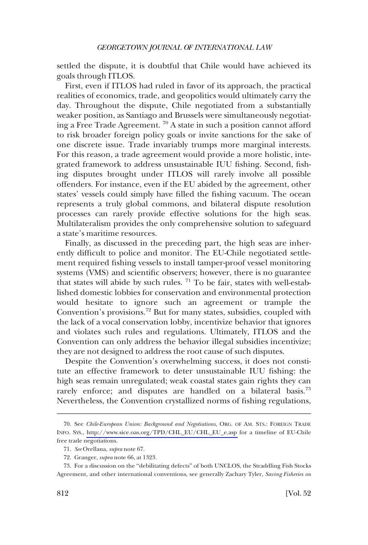settled the dispute, it is doubtful that Chile would have achieved its goals through ITLOS.

First, even if ITLOS had ruled in favor of its approach, the practical realities of economics, trade, and geopolitics would ultimately carry the day. Throughout the dispute, Chile negotiated from a substantially weaker position, as Santiago and Brussels were simultaneously negotiating a Free Trade Agreement. 70 A state in such a position cannot afford to risk broader foreign policy goals or invite sanctions for the sake of one discrete issue. Trade invariably trumps more marginal interests. For this reason, a trade agreement would provide a more holistic, integrated framework to address unsustainable IUU fishing. Second, fishing disputes brought under ITLOS will rarely involve all possible offenders. For instance, even if the EU abided by the agreement, other states' vessels could simply have filled the fishing vacuum. The ocean represents a truly global commons, and bilateral dispute resolution processes can rarely provide effective solutions for the high seas. Multilateralism provides the only comprehensive solution to safeguard a state's maritime resources.

Finally, as discussed in the preceding part, the high seas are inherently difficult to police and monitor. The EU-Chile negotiated settlement required fishing vessels to install tamper-proof vessel monitoring systems (VMS) and scientific observers; however, there is no guarantee that states will abide by such rules.  $71$  To be fair, states with well-established domestic lobbies for conservation and environmental protection would hesitate to ignore such an agreement or trample the Convention's provisions.72 But for many states, subsidies, coupled with the lack of a vocal conservation lobby, incentivize behavior that ignores and violates such rules and regulations. Ultimately, ITLOS and the Convention can only address the behavior illegal subsidies incentivize; they are not designed to address the root cause of such disputes.

Despite the Convention's overwhelming success, it does not constitute an effective framework to deter unsustainable IUU fishing: the high seas remain unregulated; weak coastal states gain rights they can rarely enforce; and disputes are handled on a bilateral basis.<sup>73</sup> Nevertheless, the Convention crystallized norms of fishing regulations,

<sup>70.</sup> See Chile-European Union: Background and Negotiations, ORG. OF AM. STS.: FOREIGN TRADE INFO. SYS., [http://www.sice.oas.org/TPD/CHL\\_EU/CHL\\_EU\\_e.asp](http://www.sice.oas.org/TPD/CHL_EU/CHL_EU_e.asp) for a timeline of EU-Chile free trade negotiations.

<sup>71.</sup> *See* Orellana, *supra* note 67.

<sup>72.</sup> Granger, *supra* note 66, at 1323.

<sup>73.</sup> For a discussion on the "debilitating defects" of both UNCLOS, the Straddling Fish Stocks Agreement, and other international conventions, see generally Zachary Tyler, *Saving Fisheries on*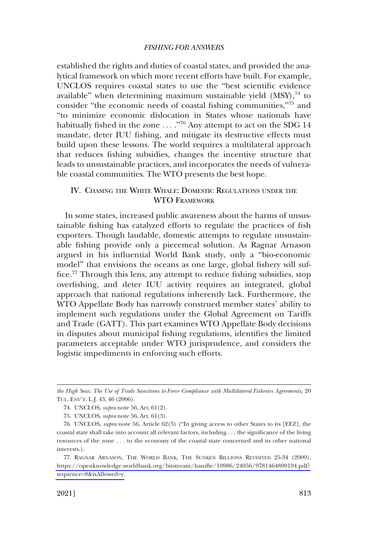<span id="page-16-0"></span>established the rights and duties of coastal states, and provided the analytical framework on which more recent efforts have built. For example, UNCLOS requires coastal states to use the "best scientific evidence available" when determining maximum sustainable yield  $(MSY)^{74}$  to consider "the economic needs of coastal fishing communities,"75 and "to minimize economic dislocation in States whose nationals have habitually fished in the zone ...."<sup>76</sup> Any attempt to act on the SDG 14 mandate, deter IUU fishing, and mitigate its destructive effects must build upon these lessons. The world requires a multilateral approach that reduces fishing subsidies, changes the incentive structure that leads to unsustainable practices, and incorporates the needs of vulnerable coastal communities. The WTO presents the best hope.

# IV. CHASING THE WHITE WHALE: DOMESTIC REGULATIONS UNDER THE WTO FRAMEWORK

In some states, increased public awareness about the harms of unsustainable fishing has catalyzed efforts to regulate the practices of fish exporters. Though laudable, domestic attempts to regulate unsustainable fishing provide only a piecemeal solution. As Ragnar Arnason argued in his influential World Bank study, only a "bio-economic model" that envisions the oceans as one large, global fishery will suffice.<sup>77</sup> Through this lens, any attempt to reduce fishing subsidies, stop overfishing, and deter IUU activity requires an integrated, global approach that national regulations inherently lack. Furthermore, the WTO Appellate Body has narrowly construed member states' ability to implement such regulations under the Global Agreement on Tariffs and Trade (GATT). This part examines WTO Appellate Body decisions in disputes about municipal fishing regulations, identifies the limited parameters acceptable under WTO jurisprudence, and considers the logistic impediments in enforcing such efforts.

*the High Seas: The Use of Trade Sanctions to Force Compliance with Multilateral Fisheries Agreements*, 20 TUL. ENV'T. L.J. 43, 46 (2006).

<sup>74.</sup> UNCLOS, *supra* note 56, Art. 61(2).

<sup>75.</sup> UNCLOS, *supra* note 56, Art. 61(3).

<sup>76.</sup> UNCLOS, *supra* note 56, Article 62(3) ("In giving access to other States to its [EEZ], the coastal state shall take into account all relevant factors, including . . . the significance of the living resources of the zone . . . to the economy of the coastal state concerned and its other national interests.).

<sup>77.</sup> RAGNAR ARNASON, THE WORLD BANK, THE SUNKEN BILLIONS REVISITED 25-34 (2009), [https://openknowledge.worldbank.org/bitstream/handle/10986/24056/9781464809194.pdf?](https://openknowledge.worldbank.org/bitstream/handle/10986/24056/9781464809194.pdf?sequence=8&isAllowed=y)  [sequence=8&isAllowed=y.](https://openknowledge.worldbank.org/bitstream/handle/10986/24056/9781464809194.pdf?sequence=8&isAllowed=y)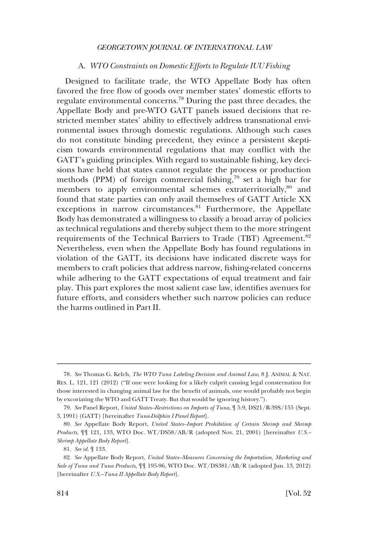### A. *WTO Constraints on Domestic Efforts to Regulate IUU Fishing*

<span id="page-17-0"></span>Designed to facilitate trade, the WTO Appellate Body has often favored the free flow of goods over member states' domestic efforts to regulate environmental concerns.78 During the past three decades, the Appellate Body and pre-WTO GATT panels issued decisions that restricted member states' ability to effectively address transnational environmental issues through domestic regulations. Although such cases do not constitute binding precedent, they evince a persistent skepticism towards environmental regulations that may conflict with the GATT's guiding principles. With regard to sustainable fishing, key decisions have held that states cannot regulate the process or production methods (PPM) of foreign commercial fishing, $79$  set a high bar for members to apply environmental schemes extraterritorially,<sup>80</sup> and found that state parties can only avail themselves of GATT Article XX exceptions in narrow circumstances.<sup>81</sup> Furthermore, the Appellate Body has demonstrated a willingness to classify a broad array of policies as technical regulations and thereby subject them to the more stringent requirements of the Technical Barriers to Trade (TBT) Agreement.<sup>82</sup> Nevertheless, even when the Appellate Body has found regulations in violation of the GATT, its decisions have indicated discrete ways for members to craft policies that address narrow, fishing-related concerns while adhering to the GATT expectations of equal treatment and fair play. This part explores the most salient case law, identifies avenues for future efforts, and considers whether such narrow policies can reduce the harms outlined in Part II.

<sup>78.</sup> *See* Thomas G. Kelch, *The WTO Tuna Labeling Decision and Animal Law*, 8 J. ANIMAL & NAT. RES. L. 121, 121 (2012) ("If one were looking for a likely culprit causing legal consternation for those interested in changing animal law for the benefit of animals, one would probably not begin by excoriating the WTO and GATT Treaty. But that would be ignoring history.").

<sup>79.</sup> *See* Panel Report, *United States–Restrictions on Imports of Tuna*, ¶ 5.9, DS21/R-39S/155 (Sept. 3, 1991) (GATT) [hereinafter *Tuna-Dolphin I Panel Report*].

<sup>80.</sup> *See* Appellate Body Report, *United States–Import Prohibition of Certain Shrimp and Shrimp Products*, ¶¶ 121, 133, WTO Doc. WT/DS58/AB/R (adopted Nov. 21, 2001) [hereinafter *U.S.– Shrimp Appellate Body Report*].

<sup>81.</sup> *See id.* ¶ 133.

<sup>82.</sup> *See* Appellate Body Report, *United States–Measures Concerning the Importation, Marketing and Sale of Tuna and Tuna Products*, ¶¶ 195-96, WTO Doc. WT/DS381/AB/R (adopted Jun. 13, 2012) [hereinafter *U.S.–Tuna II Appellate Body Report*].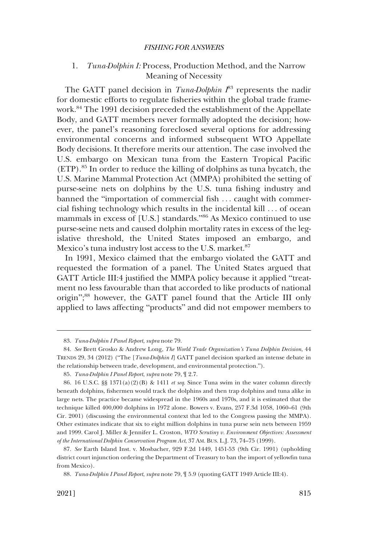# <span id="page-18-0"></span>1. *Tuna-Dolphin I:* Process, Production Method, and the Narrow Meaning of Necessity

The GATT panel decision in *Tuna-Dolphin*  $I^{83}$  represents the nadir for domestic efforts to regulate fisheries within the global trade framework.<sup>84</sup> The 1991 decision preceded the establishment of the Appellate Body, and GATT members never formally adopted the decision; however, the panel's reasoning foreclosed several options for addressing environmental concerns and informed subsequent WTO Appellate Body decisions. It therefore merits our attention. The case involved the U.S. embargo on Mexican tuna from the Eastern Tropical Pacific  $(ETP)$ <sup>85</sup>. In order to reduce the killing of dolphins as tuna bycatch, the U.S. Marine Mammal Protection Act (MMPA) prohibited the setting of purse-seine nets on dolphins by the U.S. tuna fishing industry and banned the "importation of commercial fish ... caught with commercial fishing technology which results in the incidental kill . . . of ocean mammals in excess of [U.S.] standards."86 As Mexico continued to use purse-seine nets and caused dolphin mortality rates in excess of the legislative threshold, the United States imposed an embargo, and Mexico's tuna industry lost access to the U.S. market.<sup>87</sup>

In 1991, Mexico claimed that the embargo violated the GATT and requested the formation of a panel. The United States argued that GATT Article III:4 justified the MMPA policy because it applied "treatment no less favourable than that accorded to like products of national origin"; 88 however, the GATT panel found that the Article III only applied to laws affecting "products" and did not empower members to

<sup>83.</sup> *Tuna-Dolphin I Panel Report*, *supra* note 79.

<sup>84.</sup> *See* Brett Grosko & Andrew Long, *The World Trade Organization's Tuna Dolphin Decision*, 44 TRENDS 29, 34 (2012) ("The [*Tuna-Dolphin I*] GATT panel decision sparked an intense debate in the relationship between trade, development, and environmental protection.").

<sup>85.</sup> *Tuna-Dolphin I Panel Report*, *supra* note 79, ¶ 2.7.

<sup>86. 16</sup> U.S.C. §§ 1371(a)(2)(B) & 1411 *et seq*. Since Tuna swim in the water column directly beneath dolphins, fishermen would track the dolphins and then trap dolphins and tuna alike in large nets. The practice became widespread in the 1960s and 1970s, and it is estimated that the technique killed 400,000 dolphins in 1972 alone. Bowers v. Evans, 257 F.3d 1058, 1060–61 (9th Cir. 2001) (discussing the environmental context that led to the Congress passing the MMPA). Other estimates indicate that six to eight million dolphins in tuna purse sein nets between 1959 and 1999. Carol J. Miller & Jennifer L. Croston, *WTO Scrutiny v. Environment Objectives: Assessment of the International Dolphin Conservation Program Act*, 37 AM. BUS. L.J. 73, 74–75 (1999).

<sup>87.</sup> *See* Earth Island Inst. v. Mosbacher, 929 F.2d 1449, 1451-53 (9th Cir. 1991) (upholding district court injunction ordering the Department of Treasury to ban the import of yellowfin tuna from Mexico).

<sup>88.</sup> *Tuna-Dolphin I Panel Report*, *supra* note 79, ¶ 5.9 (quoting GATT 1949 Article III:4).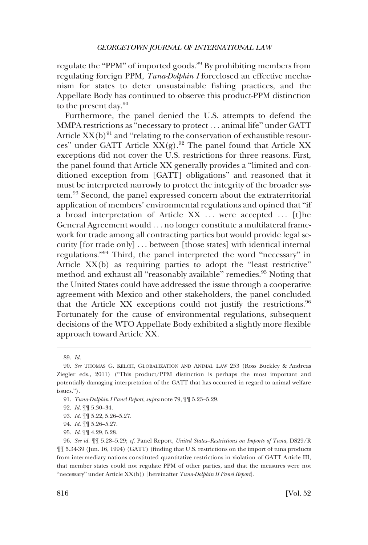regulate the "PPM" of imported goods.<sup>89</sup> By prohibiting members from regulating foreign PPM, *Tuna-Dolphin I* foreclosed an effective mechanism for states to deter unsustainable fishing practices, and the Appellate Body has continued to observe this product-PPM distinction to the present day. $90$ 

Furthermore, the panel denied the U.S. attempts to defend the MMPA restrictions as "necessary to protect . . . animal life" under GATT Article  $XX(b)^{91}$  and "relating to the conservation of exhaustible resources" under GATT Article  $XX(g)$ .<sup>92</sup> The panel found that Article XX exceptions did not cover the U.S. restrictions for three reasons. First, the panel found that Article XX generally provides a "limited and conditioned exception from [GATT] obligations" and reasoned that it must be interpreted narrowly to protect the integrity of the broader system.93 Second, the panel expressed concern about the extraterritorial application of members' environmental regulations and opined that "if a broad interpretation of Article XX ... were accepted ... [t]he General Agreement would . . . no longer constitute a multilateral framework for trade among all contracting parties but would provide legal security [for trade only] . . . between [those states] with identical internal regulations."94 Third, the panel interpreted the word "necessary" in Article XX(b) as requiring parties to adopt the "least restrictive" method and exhaust all "reasonably available" remedies.<sup>95</sup> Noting that the United States could have addressed the issue through a cooperative agreement with Mexico and other stakeholders, the panel concluded that the Article XX exceptions could not justify the restrictions.  $96$ Fortunately for the cause of environmental regulations, subsequent decisions of the WTO Appellate Body exhibited a slightly more flexible approach toward Article XX.

<sup>89.</sup> *Id.* 

<sup>90.</sup> *See* THOMAS G. KELCH, GLOBALIZATION AND ANIMAL LAW 253 (Ross Buckley & Andreas Ziegler eds., 2011) ("This product/PPM distinction is perhaps the most important and potentially damaging interpretation of the GATT that has occurred in regard to animal welfare issues.").

<sup>91.</sup> *Tuna-Dolphin I Panel Report*, *supra* note 79, ¶¶ 5.23–5.29.

<sup>92.</sup> *Id.* ¶¶ 5.30–34.

<sup>93.</sup> *Id.* ¶¶ 5.22, 5.26–5.27.

<sup>94.</sup> *Id.* ¶¶ 5.26–5.27.

<sup>95.</sup> *Id*. ¶¶ 4.29, 5.28.

<sup>96.</sup> *See id.* ¶¶ 5.28–5.29; *cf.* Panel Report, *United States–Restrictions on Imports of Tuna*, DS29/R ¶¶ 5.34-39 (Jun. 16, 1994) (GATT) (finding that U.S. restrictions on the import of tuna products from intermediary nations constituted quantitative restrictions in violation of GATT Article III, that member states could not regulate PPM of other parties, and that the measures were not "necessary" under Article XX(b)) [hereinafter *Tuna-Dolphin II Panel Report*].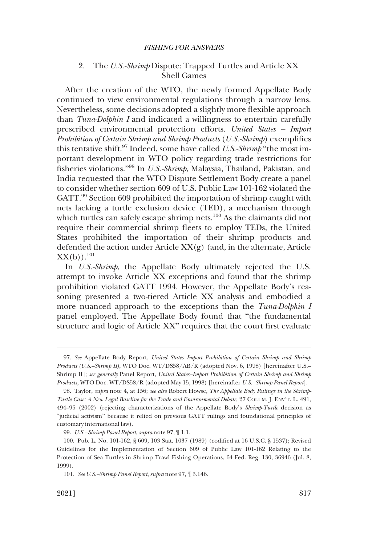# <span id="page-20-0"></span>2. The *U.S.-Shrimp* Dispute: Trapped Turtles and Article XX Shell Games

After the creation of the WTO, the newly formed Appellate Body continued to view environmental regulations through a narrow lens. Nevertheless, some decisions adopted a slightly more flexible approach than *Tuna-Dolphin I* and indicated a willingness to entertain carefully prescribed environmental protection efforts. *United States – Import Prohibition of Certain Shrimp and Shrimp Products* (*U.S.-Shrimp*) exemplifies this tentative shift.97 Indeed, some have called *U.S.-Shrimp* "the most important development in WTO policy regarding trade restrictions for fisheries violations."98 In *U.S.-Shrimp,* Malaysia, Thailand, Pakistan, and India requested that the WTO Dispute Settlement Body create a panel to consider whether section 609 of U.S. Public Law 101-162 violated the GATT.<sup>99</sup> Section 609 prohibited the importation of shrimp caught with nets lacking a turtle exclusion device (TED), a mechanism through which turtles can safely escape shrimp nets.<sup>100</sup> As the claimants did not require their commercial shrimp fleets to employ TEDs, the United States prohibited the importation of their shrimp products and defended the action under Article  $XX(g)$  (and, in the alternate, Article  $XX(b)$ ).<sup>101</sup>

In *U.S.-Shrimp*, the Appellate Body ultimately rejected the U.S. attempt to invoke Article XX exceptions and found that the shrimp prohibition violated GATT 1994. However, the Appellate Body's reasoning presented a two-tiered Article XX analysis and embodied a more nuanced approach to the exceptions than the *Tuna-Dolphin I*  panel employed. The Appellate Body found that "the fundamental structure and logic of Article XX" requires that the court first evaluate

<sup>97.</sup> *See* Appellate Body Report, *United States–Import Prohibition of Certain Shrimp and Shrimp Products (U.S.–Shrimp II)*, WTO Doc. WT/DS58/AB/R (adopted Nov. 6, 1998) [hereinafter U.S.– Shrimp II]; *see generally* Panel Report, *United States–Import Prohibition of Certain Shrimp and Shrimp Products*, WTO Doc. WT/DS58/R (adopted May 15, 1998) [hereinafter *U.S.–Shrimp Panel Report*].

<sup>98.</sup> Taylor, *supra* note 4, at 156; *see also* Robert Howse, *The Appellate Body Rulings in the Shrimp-Turtle Case: A New Legal Baseline for the Trade and Environmental Debate*, 27 COLUM. J. ENV'T. L. 491, 494–95 (2002) (rejecting characterizations of the Appellate Body's *Shrimp-Turtle* decision as "judicial activism" because it relied on previous GATT rulings and foundational principles of customary international law).

<sup>99.</sup> *U.S.–Shrimp Panel Report*, *supra* note 97, ¶ 1.1.

<sup>100.</sup> Pub. L. No. 101-162, § 609, 103 Stat. 1037 (1989) (codified at 16 U.S.C. § 1537); Revised Guidelines for the Implementation of Section 609 of Public Law 101-162 Relating to the Protection of Sea Turtles in Shrimp Trawl Fishing Operations, 64 Fed. Reg. 130, 36946 (Jul. 8, 1999).

<sup>101.</sup> *See U.S.–Shrimp Panel Report*, *supra* note 97, ¶ 3.146.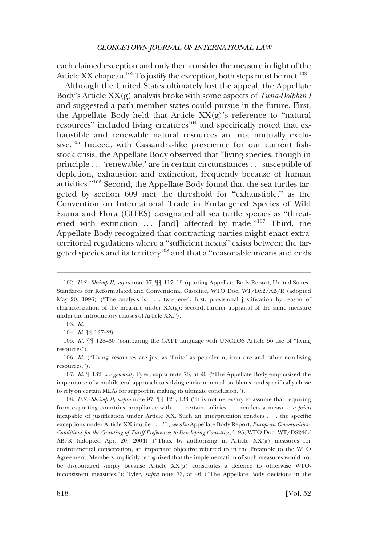each claimed exception and only then consider the measure in light of the Article XX chapeau.<sup>102</sup> To justify the exception, both steps must be met.<sup>103</sup>

Although the United States ultimately lost the appeal, the Appellate Body's Article XX(g) analysis broke with some aspects of *Tuna-Dolphin I*  and suggested a path member states could pursue in the future. First, the Appellate Body held that Article  $XX(g)$ 's reference to "natural" resources" included living creatures<sup>104</sup> and specifically noted that exhaustible and renewable natural resources are not mutually exclusive.<sup>105</sup> Indeed, with Cassandra-like prescience for our current fishstock crisis, the Appellate Body observed that "living species, though in principle . . . 'renewable,' are in certain circumstances . . . susceptible of depletion, exhaustion and extinction, frequently because of human activities."106 Second, the Appellate Body found that the sea turtles targeted by section 609 met the threshold for "exhaustible," as the Convention on International Trade in Endangered Species of Wild Fauna and Flora (CITES) designated all sea turtle species as "threatened with extinction  $\ldots$  [and] affected by trade."<sup>107</sup> Third, the Appellate Body recognized that contracting parties might enact extraterritorial regulations where a "sufficient nexus" exists between the targeted species and its territory<sup>108</sup> and that a "reasonable means and ends"

105. *Id.* ¶¶ 128–30 (comparing the GATT language with UNCLOS Article 56 use of "living resources").

107. *Id.* ¶ 132; *see generally* Tyler, supra note 73, at 90 ("The Appellate Body emphasized the importance of a multilateral approach to solving environmental problems, and specifically chose to rely on certain MEAs for support in making its ultimate conclusion.").

108. *U.S.–Shrimp II*, *supra* note 97, ¶¶ 121, 133 ("It is not necessary to assume that requiring from exporting countries compliance with . . . certain policies . . . renders a measure *a priori*  incapable of justification under Article XX. Such an interpretation renders . . . the specific exceptions under Article XX inutile . . . ."); *see also* Appellate Body Report, *European Communities– Conditions for the Granting of Tariff Preferences to Developing Countries*, ¶ 95, WTO Doc. WT/DS246/  $AB/R$  (adopted Apr. 20, 2004) ("Thus, by authorizing in Article  $XX(g)$  measures for environmental conservation, an important objective referred to in the Preamble to the WTO Agreement, Members implicitly recognized that the implementation of such measures would not be discouraged simply because Article  $XX(g)$  constitutes a defence to otherwise WTOinconsistent measures."); Tyler, *supra* note 73, at 46 ("The Appellate Body decisions in the

<sup>102.</sup> *U.S.–Shrimp II*, *supra* note 97, ¶¶ 117–19 (quoting Appellate Body Report, United States– Standards for Reformulated and Conventional Gasoline, WTO Doc. WT/DS2/AB/R (adopted May 20, 1996) ("The analysis is . . . two-tiered: first, provisional justification by reason of characterization of the measure under XX(g); second, further appraisal of the same measure under the introductory clauses of Article XX.").

<sup>103.</sup> *Id.* 

<sup>104.</sup> *Id.* ¶¶ 127–28.

<sup>106.</sup> *Id.* ("Living resources are just as 'finite' as petroleum, iron ore and other non-living resources.").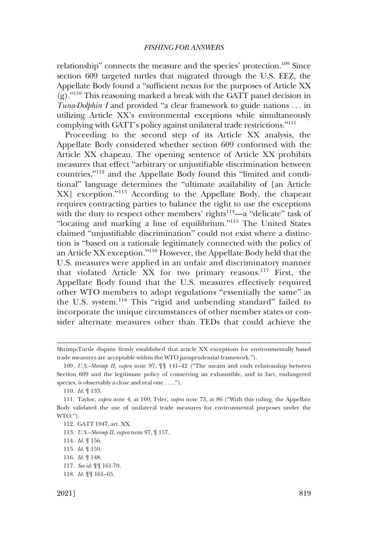relationship" connects the measure and the species' protection.<sup>109</sup> Since section 609 targeted turtles that migrated through the U.S. EEZ, the Appellate Body found a "sufficient nexus for the purposes of Article XX (g)."110 This reasoning marked a break with the GATT panel decision in *Tuna-Dolphin I* and provided "a clear framework to guide nations ... in utilizing Article XX's environmental exceptions while simultaneously complying with GATT's policy against unilateral trade restrictions."<sup>111</sup>

Proceeding to the second step of its Article XX analysis, the Appellate Body considered whether section 609 conformed with the Article XX chapeau. The opening sentence of Article XX prohibits measures that effect "arbitrary or unjustifiable discrimination between countries,"112 and the Appellate Body found this "limited and conditional" language determines the "ultimate availability of [an Article XX] exception."113 According to the Appellate Body, the chapeau requires contracting parties to balance the right to use the exceptions with the duty to respect other members' rights $114$ —a "delicate" task of "locating and marking a line of equilibrium."<sup>115</sup> The United States claimed "unjustifiable discrimination" could not exist where a distinction is "based on a rationale legitimately connected with the policy of an Article XX exception."116 However, the Appellate Body held that the U.S. measures were applied in an unfair and discriminatory manner that violated Article XX for two primary reasons.117 First, the Appellate Body found that the U.S. measures effectively required other WTO members to adopt regulations "essentially the same" as the U.S. system.<sup>118</sup> This "rigid and unbending standard" failed to incorporate the unique circumstances of other member states or consider alternate measures other than TEDs that could achieve the

Shrimp-Turtle dispute firmly established that article XX exceptions for environmentally based trade measures are acceptable within the WTO jurisprudential framework.").

<sup>109.</sup> *U.S.–Shrimp II*, *supra* note 97, ¶¶ 141–42 ("The means and ends relationship between Section 609 and the legitimate policy of conserving an exhaustible, and in fact, endangered species, is observably a close and real one . . . .").

<sup>110.</sup> *Id.* ¶ 133.

<sup>111.</sup> Taylor, *supra* note 4, at 160; Tyler, *supra* note 73, at 86 ("With this ruling, the Appellate Body validated the use of unilateral trade measures for environmental purposes under the WTO.").

<sup>112.</sup> GATT 1947, art. XX.

<sup>113.</sup> *U.S.–Shrimp II*, *supra* note 97, ¶ 157.

<sup>114.</sup> *Id.* ¶ 156.

<sup>115.</sup> *Id.* ¶ 159.

<sup>116.</sup> *Id.* ¶ 148.

<sup>117.</sup> *See id.* ¶¶ 161-70.

<sup>118.</sup> *Id.* ¶¶ 161–65.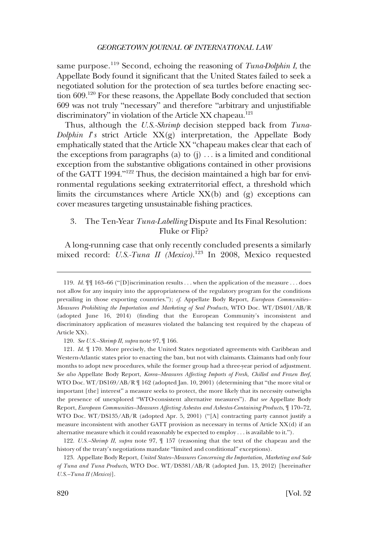<span id="page-23-0"></span>same purpose.119 Second, echoing the reasoning of *Tuna-Dolphin I*, the Appellate Body found it significant that the United States failed to seek a negotiated solution for the protection of sea turtles before enacting section 609.120 For these reasons, the Appellate Body concluded that section 609 was not truly "necessary" and therefore "arbitrary and unjustifiable discriminatory" in violation of the Article XX chapeau.<sup>121</sup>

Thus, although the *U.S.-Shrimp* decision stepped back from *Tuna-Dolphin I*'*s* strict Article XX(g) interpretation, the Appellate Body emphatically stated that the Article XX "chapeau makes clear that each of the exceptions from paragraphs (a) to  $(i)$ ... is a limited and conditional exception from the substantive obligations contained in other provisions of the GATT 1994."122 Thus, the decision maintained a high bar for environmental regulations seeking extraterritorial effect, a threshold which limits the circumstances where Article XX(b) and (g) exceptions can cover measures targeting unsustainable fishing practices.

# 3. The Ten-Year *Tuna-Labelling* Dispute and Its Final Resolution: Fluke or Flip?

A long-running case that only recently concluded presents a similarly mixed record: *U.S.-Tuna II (Mexico)*. 123 In 2008, Mexico requested

120. *See U.S.–Shrimp II*, *supra* note 97, ¶ 166.

<sup>119.</sup> *Id.*  $\mathbb{I}$  **If** 163–66 ("[D]iscrimination results . . . when the application of the measure . . . does not allow for any inquiry into the appropriateness of the regulatory program for the conditions prevailing in those exporting countries."); *cf*. Appellate Body Report, *European Communities– Measures Prohibiting the Importation and Marketing of Seal Products*, WTO Doc. WT/DS401/AB/R (adopted June 16, 2014) (finding that the European Community's inconsistent and discriminatory application of measures violated the balancing test required by the chapeau of Article XX).

<sup>121.</sup> *Id.* ¶ 170. More precisely, the United States negotiated agreements with Caribbean and Western-Atlantic states prior to enacting the ban, but not with claimants. Claimants had only four months to adopt new procedures, while the former group had a three-year period of adjustment. *See also* Appellate Body Report, *Korea–Measures Affecting Imports of Fresh, Chilled and Frozen Beef*, WTO Doc. WT/DS169/AB/R \[ 162 (adopted Jan. 10, 2001) (determining that "the more vital or important [the] interest" a measure seeks to protect, the more likely that its necessity outweighs the presence of unexplored "WTO-consistent alternative measures"). *But see* Appellate Body Report, *European Communities–Measures Affecting Asbestos and Asbestos-Containing Products*, ¶ 170–72, WTO Doc. WT/DS135/AB/R (adopted Apr. 5, 2001) ("[A] contracting party cannot justify a measure inconsistent with another GATT provision as necessary in terms of Article  $XX(d)$  if an alternative measure which it could reasonably be expected to employ . . . is available to it.").

<sup>122.</sup> *U.S.–Shrimp II*, *supra* note 97, ¶ 157 (reasoning that the text of the chapeau and the history of the treaty's negotiations mandate "limited and conditional" exceptions).

<sup>123.</sup> Appellate Body Report, *United States–Measures Concerning the Importation, Marketing and Sale of Tuna and Tuna Products*, WTO Doc. WT/DS381/AB/R (adopted Jun. 13, 2012) [hereinafter *U.S.–Tuna II (Mexico)*].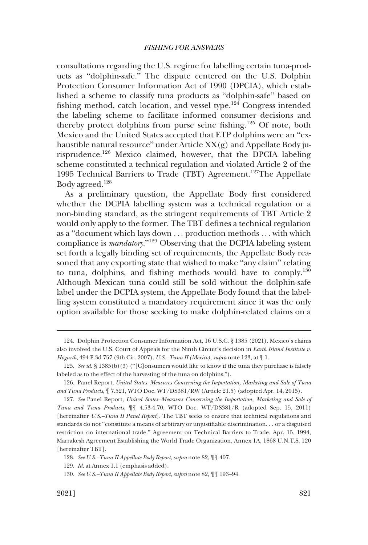consultations regarding the U.S. regime for labelling certain tuna-products as "dolphin-safe." The dispute centered on the U.S. Dolphin Protection Consumer Information Act of 1990 (DPCIA), which established a scheme to classify tuna products as "dolphin-safe" based on fishing method, catch location, and vessel type.124 Congress intended the labeling scheme to facilitate informed consumer decisions and thereby protect dolphins from purse seine fishing.125 Of note, both Mexico and the United States accepted that ETP dolphins were an "exhaustible natural resource" under Article XX(g) and Appellate Body jurisprudence.126 Mexico claimed, however, that the DPCIA labeling scheme constituted a technical regulation and violated Article 2 of the 1995 Technical Barriers to Trade (TBT) Agreement.<sup>127</sup>The Appellate Body agreed.<sup>128</sup>

As a preliminary question, the Appellate Body first considered whether the DCPIA labelling system was a technical regulation or a non-binding standard, as the stringent requirements of TBT Article 2 would only apply to the former. The TBT defines a technical regulation as a "document which lays down . . . production methods . . . with which compliance is *mandatory*."129 Observing that the DCPIA labeling system set forth a legally binding set of requirements, the Appellate Body reasoned that any exporting state that wished to make "any claim" relating to tuna, dolphins, and fishing methods would have to comply.130 Although Mexican tuna could still be sold without the dolphin-safe label under the DCPIA system, the Appellate Body found that the labelling system constituted a mandatory requirement since it was the only option available for those seeking to make dolphin-related claims on a

<sup>124.</sup> Dolphin Protection Consumer Information Act, 16 U.S.C. § 1385 (2021). Mexico's claims also involved the U.S. Court of Appeals for the Ninth Circuit's decision in *Earth Island Institute v. Hogarth*, 494 F.3d 757 (9th Cir. 2007). *U.S.–Tuna II (Mexico)*, *supra* note 123, at ¶ 1.

<sup>125.</sup> *See id.* § 1385(b)(3) ("[C]onsumers would like to know if the tuna they purchase is falsely labeled as to the effect of the harvesting of the tuna on dolphins.").

<sup>126.</sup> Panel Report, *United States–Measures Concerning the Importation, Marketing and Sale of Tuna and Tuna Products*, ¶ 7.521, WTO Doc. WT/DS381/RW (Article 21.5) (adopted Apr. 14, 2015).

<sup>127.</sup> *See* Panel Report, *United States–Measures Concerning the Importation, Marketing and Sale of Tuna and Tuna Products*, ¶¶ 4.53-4.70, WTO Doc. WT/DS381/R (adopted Sep. 15, 2011) [hereinafter *U.S.–Tuna II Panel Report*]. The TBT seeks to ensure that technical regulations and standards do not "constitute a means of arbitrary or unjustifiable discrimination. . . or a disguised restriction on international trade." Agreement on Technical Barriers to Trade, Apr. 15, 1994, Marrakesh Agreement Establishing the World Trade Organization, Annex 1A, 1868 U.N.T.S. 120 [hereinafter TBT].

<sup>128.</sup> *See U.S.–Tuna II Appellate Body Report*, *supra* note 82, ¶¶ 407.

<sup>129.</sup> *Id.* at Annex 1.1 (emphasis added).

<sup>130.</sup> *See U.S.–Tuna II Appellate Body Report*, *supra* note 82, ¶¶ 193–94.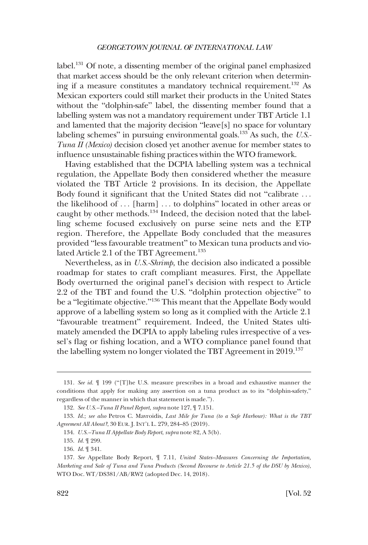label.131 Of note, a dissenting member of the original panel emphasized that market access should be the only relevant criterion when determining if a measure constitutes a mandatory technical requirement.132 As Mexican exporters could still market their products in the United States without the "dolphin-safe" label, the dissenting member found that a labelling system was not a mandatory requirement under TBT Article 1.1 and lamented that the majority decision "leave[s] no space for voluntary labeling schemes" in pursuing environmental goals.133 As such, the *U.S.- Tuna II (Mexico)* decision closed yet another avenue for member states to influence unsustainable fishing practices within the WTO framework.

Having established that the DCPIA labelling system was a technical regulation, the Appellate Body then considered whether the measure violated the TBT Article 2 provisions. In its decision, the Appellate Body found it significant that the United States did not "calibrate . . . the likelihood of ... [harm] ... to dolphins" located in other areas or caught by other methods.<sup>134</sup> Indeed, the decision noted that the labelling scheme focused exclusively on purse seine nets and the ETP region. Therefore, the Appellate Body concluded that the measures provided "less favourable treatment" to Mexican tuna products and violated Article 2.1 of the TBT Agreement.<sup>135</sup>

Nevertheless, as in *U.S.-Shrimp*, the decision also indicated a possible roadmap for states to craft compliant measures. First, the Appellate Body overturned the original panel's decision with respect to Article 2.2 of the TBT and found the U.S. "dolphin protection objective" to be a "legitimate objective."136 This meant that the Appellate Body would approve of a labelling system so long as it complied with the Article 2.1 "favourable treatment" requirement. Indeed, the United States ultimately amended the DCPIA to apply labeling rules irrespective of a vessel's flag or fishing location, and a WTO compliance panel found that the labelling system no longer violated the TBT Agreement in 2019.<sup>137</sup>

<sup>131.</sup> *See id.* ¶ 199 ("[T]he U.S. measure prescribes in a broad and exhaustive manner the conditions that apply for making any assertion on a tuna product as to its "dolphin-safety," regardless of the manner in which that statement is made.").

<sup>132.</sup> *See U.S.–Tuna II Panel Report*, *supra* note 127, ¶ 7.151.

<sup>133.</sup> *Id.*; *see also* Petros C. Mavroidis, *Last Mile for Tuna (to a Safe Harbour): What is the TBT Agreement All About?*, 30 EUR. J. INT'L L. 279, 284–85 (2019).

<sup>134.</sup> *U.S.–Tuna II Appellate Body Report*, *supra* note 82, A 3(b).

<sup>135.</sup> *Id.* ¶ 299.

<sup>136.</sup> *Id.* ¶ 341.

<sup>137.</sup> *See* Appellate Body Report, ¶ 7.11, *United States–Measures Concerning the Importation, Marketing and Sale of Tuna and Tuna Products (Second Recourse to Article 21.5 of the DSU by Mexico)*, WTO Doc. WT/DS381/AB/RW2 (adopted Dec. 14, 2018).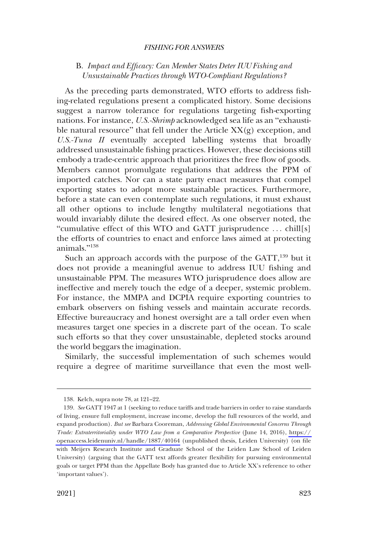# <span id="page-26-0"></span>B. *Impact and Efficacy: Can Member States Deter IUU Fishing and Unsustainable Practices through WTO-Compliant Regulations?*

As the preceding parts demonstrated, WTO efforts to address fishing-related regulations present a complicated history. Some decisions suggest a narrow tolerance for regulations targeting fish-exporting nations. For instance, *U.S.-Shrimp* acknowledged sea life as an "exhaustible natural resource" that fell under the Article XX(g) exception, and *U.S.-Tuna II* eventually accepted labelling systems that broadly addressed unsustainable fishing practices. However, these decisions still embody a trade-centric approach that prioritizes the free flow of goods. Members cannot promulgate regulations that address the PPM of imported catches. Nor can a state party enact measures that compel exporting states to adopt more sustainable practices. Furthermore, before a state can even contemplate such regulations, it must exhaust all other options to include lengthy multilateral negotiations that would invariably dilute the desired effect. As one observer noted, the "cumulative effect of this WTO and GATT jurisprudence . . . chill[s] the efforts of countries to enact and enforce laws aimed at protecting animals."<sup>138</sup>

Such an approach accords with the purpose of the GATT,<sup>139</sup> but it does not provide a meaningful avenue to address IUU fishing and unsustainable PPM. The measures WTO jurisprudence does allow are ineffective and merely touch the edge of a deeper, systemic problem. For instance, the MMPA and DCPIA require exporting countries to embark observers on fishing vessels and maintain accurate records. Effective bureaucracy and honest oversight are a tall order even when measures target one species in a discrete part of the ocean. To scale such efforts so that they cover unsustainable, depleted stocks around the world beggars the imagination.

Similarly, the successful implementation of such schemes would require a degree of maritime surveillance that even the most well-

<sup>138.</sup> Kelch, supra note 78, at 121–22.

*See* GATT 1947 at 1 (seeking to reduce tariffs and trade barriers in order to raise standards 139. of living, ensure full employment, increase income, develop the full resources of the world, and expand production). *But see* Barbara Cooreman, *Addressing Global Environmental Concerns Through Trade: Extraterritoriality under WTO Law from a Comparative Perspective* (June 14, 2016), [https://](https://openaccess.leidenuniv.nl/handle/1887/40164)  [openaccess.leidenuniv.nl/handle/1887/40164](https://openaccess.leidenuniv.nl/handle/1887/40164) (unpublished thesis, Leiden University) (on file with Meijers Research Institute and Graduate School of the Leiden Law School of Leiden University) (arguing that the GATT text affords greater flexibility for pursuing environmental goals or target PPM than the Appellate Body has granted due to Article XX's reference to other 'important values').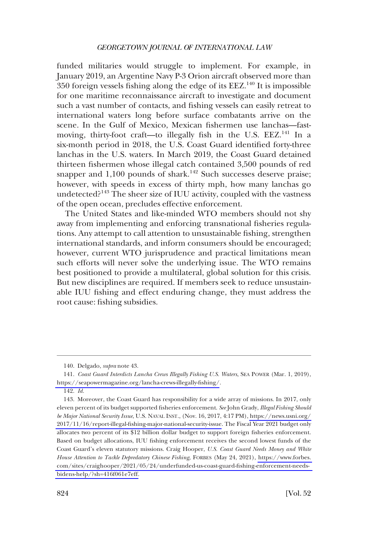funded militaries would struggle to implement. For example, in January 2019, an Argentine Navy P-3 Orion aircraft observed more than 350 foreign vessels fishing along the edge of its  $EEZ<sup>140</sup>$  It is impossible for one maritime reconnaissance aircraft to investigate and document such a vast number of contacts, and fishing vessels can easily retreat to international waters long before surface combatants arrive on the scene. In the Gulf of Mexico, Mexican fishermen use lanchas—fastmoving, thirty-foot craft—to illegally fish in the U.S. EEZ.<sup>141</sup> In a six-month period in 2018, the U.S. Coast Guard identified forty-three lanchas in the U.S. waters. In March 2019, the Coast Guard detained thirteen fishermen whose illegal catch contained 3,500 pounds of red snapper and  $1,100$  pounds of shark.<sup>142</sup> Such successes deserve praise; however, with speeds in excess of thirty mph, how many lanchas go undetected?143 The sheer size of IUU activity, coupled with the vastness of the open ocean, precludes effective enforcement.

The United States and like-minded WTO members should not shy away from implementing and enforcing transnational fisheries regulations. Any attempt to call attention to unsustainable fishing, strengthen international standards, and inform consumers should be encouraged; however, current WTO jurisprudence and practical limitations mean such efforts will never solve the underlying issue. The WTO remains best positioned to provide a multilateral, global solution for this crisis. But new disciplines are required. If members seek to reduce unsustainable IUU fishing and effect enduring change, they must address the root cause: fishing subsidies.

<sup>140.</sup> Delgado, *supra* note 43.

*Coast Guard Interdicts Lancha Crews Illegally Fishing U.S. Waters*, SEA POWER (Mar. 1, 2019), 141. <https://seapowermagazine.org/lancha-crews-illegally-fishing/>.

<sup>142.</sup> *Id.* 

<sup>143.</sup> Moreover, the Coast Guard has responsibility for a wide array of missions. In 2017, only eleven percent of its budget supported fisheries enforcement. *See* John Grady, *Illegal Fishing Should be Major National Security Issue*, U.S. NAVAL INST., (Nov. 16, 2017, 4:17 PM), [https://news.usni.org/](https://news.usni.org/2017/11/16/report-illegal-fishing-major-national-security-issue)  [2017/11/16/report-illegal-fishing-major-national-security-issue.](https://news.usni.org/2017/11/16/report-illegal-fishing-major-national-security-issue) The Fiscal Year 2021 budget only allocates two percent of its \$12 billion dollar budget to support foreign fisheries enforcement. Based on budget allocations, IUU fishing enforcement receives the second lowest funds of the Coast Guard's eleven statutory missions. Craig Hooper, *U.S. Coast Guard Needs Money and White House Attention to Tackle Depredatory Chinese Fishing*, FORBES (May 24, 2021), [https://www.forbes.](https://www.forbes.com/sites/craighooper/2021/05/24/underfunded-us-coast-guard-fishing-enforcement-needs-bidens-help/?sh=416f061e7eff)  [com/sites/craighooper/2021/05/24/underfunded-us-coast-guard-fishing-enforcement-needs](https://www.forbes.com/sites/craighooper/2021/05/24/underfunded-us-coast-guard-fishing-enforcement-needs-bidens-help/?sh=416f061e7eff)[bidens-help/?sh=416f061e7eff.](https://www.forbes.com/sites/craighooper/2021/05/24/underfunded-us-coast-guard-fishing-enforcement-needs-bidens-help/?sh=416f061e7eff)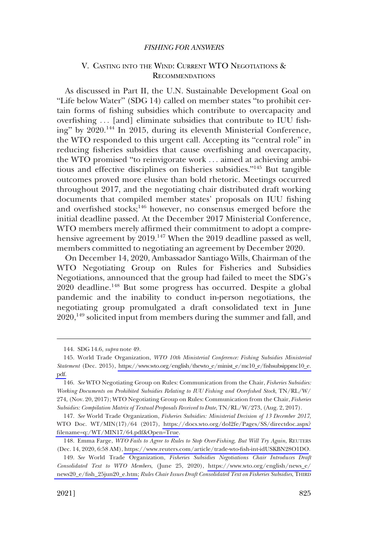# <span id="page-28-0"></span>V. CASTING INTO THE WIND: CURRENT WTO NEGOTIATIONS & RECOMMENDATIONS

As discussed in Part II, the U.N. Sustainable Development Goal on "Life below Water" (SDG 14) called on member states "to prohibit certain forms of fishing subsidies which contribute to overcapacity and overfishing ... [and] eliminate subsidies that contribute to IUU fishing" by 2020.144 In 2015, during its eleventh Ministerial Conference, the WTO responded to this urgent call. Accepting its "central role" in reducing fisheries subsidies that cause overfishing and overcapacity, the WTO promised "to reinvigorate work . . . aimed at achieving ambitious and effective disciplines on fisheries subsidies."<sup>145</sup> But tangible outcomes proved more elusive than bold rhetoric. Meetings occurred throughout 2017, and the negotiating chair distributed draft working documents that compiled member states' proposals on IUU fishing and overfished stocks;<sup>146</sup> however, no consensus emerged before the initial deadline passed. At the December 2017 Ministerial Conference, WTO members merely affirmed their commitment to adopt a comprehensive agreement by 2019.<sup>147</sup> When the 2019 deadline passed as well, members committed to negotiating an agreement by December 2020.

On December 14, 2020, Ambassador Santiago Wills, Chairman of the WTO Negotiating Group on Rules for Fisheries and Subsidies Negotiations, announced that the group had failed to meet the SDG's 2020 deadline.<sup>148</sup> But some progress has occurred. Despite a global pandemic and the inability to conduct in-person negotiations, the negotiating group promulgated a draft consolidated text in June 2020,<sup>149</sup> solicited input from members during the summer and fall, and

*See* World Trade Organization, *Fisheries Subsidies: Ministerial Decision of 13 December 2017*, 147. WTO Doc. WT/MIN(17)/64 (2017), https://docs.wto.org/dol2fe/Pages/SS/directdoc.aspx? [filename=q:/WT/MIN17/64.pdf&Open=True](https://docs.wto.org/dol2fe/Pages/SS/directdoc.aspx?filename=q:/WT/MIN17/64.pdf&Open=True).

<sup>144.</sup> SDG 14.6, *supra* note 49.

<sup>145.</sup> World Trade Organization, *WTO 10th Ministerial Conference: Fishing Subsidies Ministerial Statement* (Dec. 2015), [https://www.wto.org/english/thewto\\_e/minist\\_e/mc10\\_e/fishsubsippmc10\\_e.](https://www.wto.org/english/thewto_e/minist_e/mc10_e/fishsubsippmc10_e.pdf)  [pdf.](https://www.wto.org/english/thewto_e/minist_e/mc10_e/fishsubsippmc10_e.pdf)

<sup>146.</sup> *See* WTO Negotiating Group on Rules: Communication from the Chair, *Fisheries Subsidies: Working Documents on Prohibited Subsidies Relating to IUU Fishing and Overfished Stock*, TN/RL/W/ 274, (Nov. 20, 2017); WTO Negotiating Group on Rules: Communication from the Chair, *Fisheries Subsidies: Compilation Matrix of Textual Proposals Received to Date*, TN/RL/W/273, (Aug. 2, 2017).

Emma Farge, *WTO Fails to Agree to Rules to Stop Over-Fishing, But Will Try Again*, REUTERS 148. (Dec. 14, 2020, 6:58 AM),<https://www.reuters.com/article/trade-wto-fish-int-idUSKBN28O1DO>.

*See* World Trade Organization, *Fisheries Subsidies Negotiations Chair Introduces Draft*  149. *Consolidated Text to WTO Members*, (June 25, 2020), [https://www.wto.org/english/news\\_e/](https://www.wto.org/english/news_e/news20_e/fish_25jun20_e.htm)  [news20\\_e/fish\\_25jun20\\_e.htm;](https://www.wto.org/english/news_e/news20_e/fish_25jun20_e.htm) *Rules Chair Issues Draft Consolidated Text on Fisheries Subsidies*, THIRD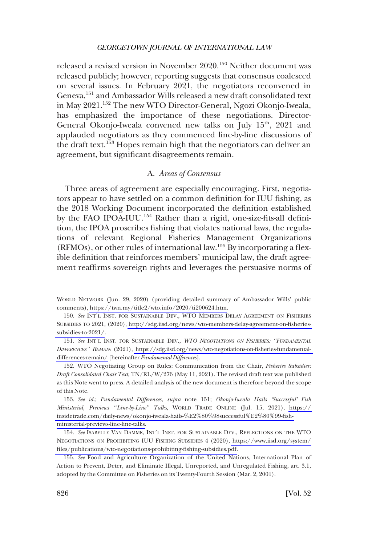<span id="page-29-0"></span>released a revised version in November 2020.150 Neither document was released publicly; however, reporting suggests that consensus coalesced on several issues. In February 2021, the negotiators reconvened in Geneva,<sup>151</sup> and Ambassador Wills released a new draft consolidated text in May 2021.152 The new WTO Director-General, Ngozi Okonjo-Iweala, has emphasized the importance of these negotiations. Director-General Okonjo-Iweala convened new talks on July 15<sup>th</sup>, 2021 and applauded negotiators as they commenced line-by-line discussions of the draft text.<sup>153</sup> Hopes remain high that the negotiators can deliver an agreement, but significant disagreements remain.

# A. *Areas of Consensus*

Three areas of agreement are especially encouraging. First, negotiators appear to have settled on a common definition for IUU fishing, as the 2018 Working Document incorporated the definition established by the FAO IPOA-IUU.<sup>154</sup> Rather than a rigid, one-size-fits-all definition, the IPOA proscribes fishing that violates national laws, the regulations of relevant Regional Fisheries Management Organizations (RFMOs), or other rules of international law.155 By incorporating a flexible definition that reinforces members' municipal law, the draft agreement reaffirms sovereign rights and leverages the persuasive norms of

WORLD NETWORK (Jun. 29, 2020) (providing detailed summary of Ambassador Wills' public comments), [https://twn.my/title2/wto.info/2020/ti200624.htm.](https://twn.my/title2/wto.info/2020/ti200624.htm)

<sup>150.</sup> See INT'L INST. FOR SUSTAINABLE DEV., WTO MEMBERS DELAY AGREEMENT ON FISHERIES SUBSIDIES TO 2021, (2020), [http://sdg.iisd.org/news/wto-members-delay-agreement-on-fisheries](http://sdg.iisd.org/news/wto-members-delay-agreement-on-fisheries-subsidies-to-2021/)[subsidies-to-2021/](http://sdg.iisd.org/news/wto-members-delay-agreement-on-fisheries-subsidies-to-2021/).

*See* INT'L INST. FOR SUSTAINABLE DEV., *WTO NEGOTIATIONS ON FISHERIES: "FUNDAMENTAL*  151. *DIFFERENCES" REMAIN* (2021), [https://sdg.iisd.org/news/wto-negotiations-on-fisheries-fundamental](https://sdg.iisd.org/news/wto-negotiations-on-fisheries-fundamental-differences-remain/)[differences-remain/](https://sdg.iisd.org/news/wto-negotiations-on-fisheries-fundamental-differences-remain/) [hereinafter *Fundamental Differences*].

<sup>152.</sup> WTO Negotiating Group on Rules: Communication from the Chair, *Fisheries Subsidies: Draft Consolidated Chair Text*, TN/RL/W/276 (May 11, 2021). The revised draft text was published as this Note went to press. A detailed analysis of the new document is therefore beyond the scope of this Note.

*See id.*; *Fundamental Differences*, *supra* note 151; *Okonjo-Iweala Hails 'Successful' Fish*  153. *Ministerial, Previews "Line-by-Line" Talks*, WORLD TRADE ONLINE (Jul. 15, 2021), [https://](https://insidetrade.com/daily-news/okonjo-iweala-hails-%E2%80%98successful%E2%80%99-fish-ministerial-previews-line-line-talks)  [insidetrade.com/daily-news/okonjo-iweala-hails-%E2%80%98successful%E2%80%99-fish](https://insidetrade.com/daily-news/okonjo-iweala-hails-%E2%80%98successful%E2%80%99-fish-ministerial-previews-line-line-talks)[ministerial-previews-line-line-talks.](https://insidetrade.com/daily-news/okonjo-iweala-hails-%E2%80%98successful%E2%80%99-fish-ministerial-previews-line-line-talks)

<sup>154.</sup> See ISABELLE VAN DAMME, INT'L INST. FOR SUSTAINABLE DEV., REFLECTIONS ON THE WTO NEGOTIATIONS ON PROHIBITING IUU FISHING SUBSIDIES 4 (2020), [https://www.iisd.org/system/](https://www.iisd.org/system/files/publications/wto-negotiations-prohibiting-fishing-subsidies.pdf) [files/publications/wto-negotiations-prohibiting-fishing-subsidies.pdf.](https://www.iisd.org/system/files/publications/wto-negotiations-prohibiting-fishing-subsidies.pdf)

<sup>155.</sup> *See* Food and Agriculture Organization of the United Nations, International Plan of Action to Prevent, Deter, and Eliminate Illegal, Unreported, and Unregulated Fishing, art. 3.1, adopted by the Committee on Fisheries on its Twenty-Fourth Session (Mar. 2, 2001).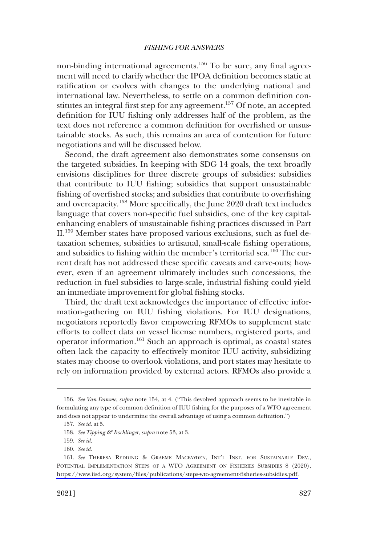non-binding international agreements.<sup>156</sup> To be sure, any final agreement will need to clarify whether the IPOA definition becomes static at ratification or evolves with changes to the underlying national and international law. Nevertheless, to settle on a common definition constitutes an integral first step for any agreement.<sup>157</sup> Of note, an accepted definition for IUU fishing only addresses half of the problem, as the text does not reference a common definition for overfished or unsustainable stocks. As such, this remains an area of contention for future negotiations and will be discussed below.

Second, the draft agreement also demonstrates some consensus on the targeted subsidies. In keeping with SDG 14 goals, the text broadly envisions disciplines for three discrete groups of subsidies: subsidies that contribute to IUU fishing; subsidies that support unsustainable fishing of overfished stocks; and subsidies that contribute to overfishing and overcapacity.158 More specifically, the June 2020 draft text includes language that covers non-specific fuel subsidies, one of the key capitalenhancing enablers of unsustainable fishing practices discussed in Part II.159 Member states have proposed various exclusions, such as fuel detaxation schemes, subsidies to artisanal, small-scale fishing operations, and subsidies to fishing within the member's territorial sea.<sup>160</sup> The current draft has not addressed these specific caveats and carve-outs; however, even if an agreement ultimately includes such concessions, the reduction in fuel subsidies to large-scale, industrial fishing could yield an immediate improvement for global fishing stocks.

Third, the draft text acknowledges the importance of effective information-gathering on IUU fishing violations. For IUU designations, negotiators reportedly favor empowering RFMOs to supplement state efforts to collect data on vessel license numbers, registered ports, and operator information.<sup>161</sup> Such an approach is optimal, as coastal states often lack the capacity to effectively monitor IUU activity, subsidizing states may choose to overlook violations, and port states may hesitate to rely on information provided by external actors. RFMOs also provide a

<sup>156.</sup> *See Van Damme*, *supra* note 154, at 4. ("This devolved approach seems to be inevitable in formulating any type of common definition of IUU fishing for the purposes of a WTO agreement and does not appear to undermine the overall advantage of using a common definition.")

<sup>157.</sup> *See id.* at 5.

<sup>158.</sup> *See Tipping & Irschlinger*, *supra* note 53, at 3.

<sup>159.</sup> *See id.* 

<sup>160.</sup> *See id.* 

<sup>161.</sup> See THERESA REDDING & GRAEME MACFAYDEN, INT'L INST. FOR SUSTAINABLE DEV., POTENTIAL IMPLEMENTATION STEPS OF A WTO AGREEMENT ON FISHERIES SUBSIDIES 8 (2020), [https://www.iisd.org/system/files/publications/steps-wto-agreement-fisheries-subsidies.pdf.](https://www.iisd.org/system/files/publications/steps-wto-agreement-fisheries-subsidies.pdf)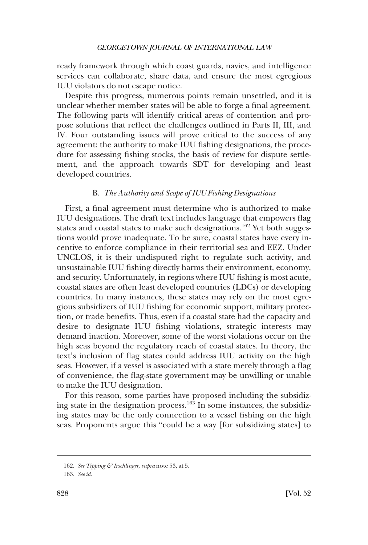<span id="page-31-0"></span>ready framework through which coast guards, navies, and intelligence services can collaborate, share data, and ensure the most egregious IUU violators do not escape notice.

Despite this progress, numerous points remain unsettled, and it is unclear whether member states will be able to forge a final agreement. The following parts will identify critical areas of contention and propose solutions that reflect the challenges outlined in Parts II, III, and IV. Four outstanding issues will prove critical to the success of any agreement: the authority to make IUU fishing designations, the procedure for assessing fishing stocks, the basis of review for dispute settlement, and the approach towards SDT for developing and least developed countries.

# B. *The Authority and Scope of IUU Fishing Designations*

First, a final agreement must determine who is authorized to make IUU designations. The draft text includes language that empowers flag states and coastal states to make such designations.<sup>162</sup> Yet both suggestions would prove inadequate. To be sure, coastal states have every incentive to enforce compliance in their territorial sea and EEZ. Under UNCLOS, it is their undisputed right to regulate such activity, and unsustainable IUU fishing directly harms their environment, economy, and security. Unfortunately, in regions where IUU fishing is most acute, coastal states are often least developed countries (LDCs) or developing countries. In many instances, these states may rely on the most egregious subsidizers of IUU fishing for economic support, military protection, or trade benefits. Thus, even if a coastal state had the capacity and desire to designate IUU fishing violations, strategic interests may demand inaction. Moreover, some of the worst violations occur on the high seas beyond the regulatory reach of coastal states. In theory, the text's inclusion of flag states could address IUU activity on the high seas. However, if a vessel is associated with a state merely through a flag of convenience, the flag-state government may be unwilling or unable to make the IUU designation.

For this reason, some parties have proposed including the subsidizing state in the designation process.<sup>163</sup> In some instances, the subsidizing states may be the only connection to a vessel fishing on the high seas. Proponents argue this "could be a way [for subsidizing states] to

<sup>162.</sup> *See Tipping & Irschlinger*, *supra* note 53, at 5.

<sup>163.</sup> *See id.*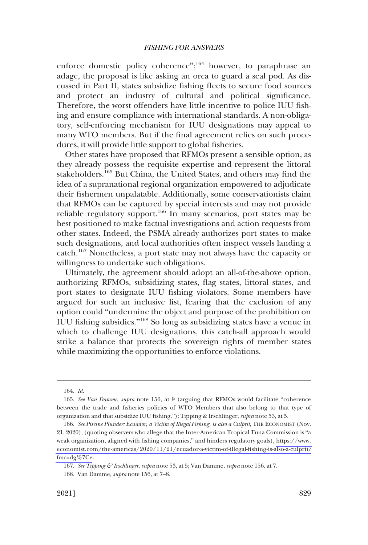enforce domestic policy coherence";<sup>164</sup> however, to paraphrase an adage, the proposal is like asking an orca to guard a seal pod. As discussed in Part II, states subsidize fishing fleets to secure food sources and protect an industry of cultural and political significance. Therefore, the worst offenders have little incentive to police IUU fishing and ensure compliance with international standards. A non-obligatory, self-enforcing mechanism for IUU designations may appeal to many WTO members. But if the final agreement relies on such procedures, it will provide little support to global fisheries.

Other states have proposed that RFMOs present a sensible option, as they already possess the requisite expertise and represent the littoral stakeholders.165 But China, the United States, and others may find the idea of a supranational regional organization empowered to adjudicate their fishermen unpalatable. Additionally, some conservationists claim that RFMOs can be captured by special interests and may not provide reliable regulatory support.<sup>166</sup> In many scenarios, port states may be best positioned to make factual investigations and action requests from other states. Indeed, the PSMA already authorizes port states to make such designations, and local authorities often inspect vessels landing a catch.167 Nonetheless, a port state may not always have the capacity or willingness to undertake such obligations.

Ultimately, the agreement should adopt an all-of-the-above option, authorizing RFMOs, subsidizing states, flag states, littoral states, and port states to designate IUU fishing violators. Some members have argued for such an inclusive list, fearing that the exclusion of any option could "undermine the object and purpose of the prohibition on IUU fishing subsidies."168 So long as subsidizing states have a venue in which to challenge IUU designations, this catch-all approach would strike a balance that protects the sovereign rights of member states while maximizing the opportunities to enforce violations.

<sup>164.</sup> *Id.* 

<sup>165.</sup> *See Van Damme*, *supra* note 156, at 9 (arguing that RFMOs would facilitate "coherence between the trade and fisheries policies of WTO Members that also belong to that type of organization and that subsidize IUU fishing."); Tipping & Irschlinger, *supra* note 53, at 5.

<sup>166.</sup> See Piscine Plunder: Ecuador, a Victim of Illegal Fishing, is also a Culprit, THE ECONOMIST (Nov. 21, 2020), (quoting observers who allege that the Inter-American Tropical Tuna Commission is "a weak organization, aligned with fishing companies," and hinders regulatory goals), [https://www.](https://www.economist.com/the-americas/2020/11/21/ecuador-a-victim-of-illegal-fishing-is-also-a-culprit?frsc=dg%7Ce)  [economist.com/the-americas/2020/11/21/ecuador-a-victim-of-illegal-fishing-is-also-a-culprit?](https://www.economist.com/the-americas/2020/11/21/ecuador-a-victim-of-illegal-fishing-is-also-a-culprit?frsc=dg%7Ce)  [frsc=dg%7Ce](https://www.economist.com/the-americas/2020/11/21/ecuador-a-victim-of-illegal-fishing-is-also-a-culprit?frsc=dg%7Ce).

<sup>167.</sup> *See Tipping & Irschlinger*, *supra* note 53, at 5; Van Damme, *supra* note 156, at 7.

<sup>168.</sup> Van Damme, *supra* note 156, at 7–8.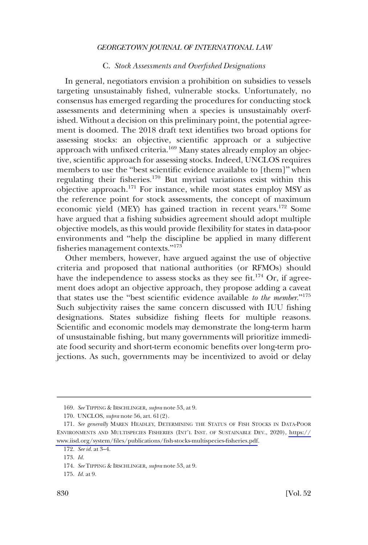# C. *Stock Assessments and Overfished Designations*

<span id="page-33-0"></span>In general, negotiators envision a prohibition on subsidies to vessels targeting unsustainably fished, vulnerable stocks. Unfortunately, no consensus has emerged regarding the procedures for conducting stock assessments and determining when a species is unsustainably overfished. Without a decision on this preliminary point, the potential agreement is doomed. The 2018 draft text identifies two broad options for assessing stocks: an objective, scientific approach or a subjective approach with unfixed criteria.<sup>169</sup> Many states already employ an objective, scientific approach for assessing stocks. Indeed, UNCLOS requires members to use the "best scientific evidence available to [them]" when regulating their fisheries.170 But myriad variations exist within this objective approach.171 For instance, while most states employ MSY as the reference point for stock assessments, the concept of maximum economic yield (MEY) has gained traction in recent years.172 Some have argued that a fishing subsidies agreement should adopt multiple objective models, as this would provide flexibility for states in data-poor environments and "help the discipline be applied in many different fisheries management contexts."<sup>173</sup>

Other members, however, have argued against the use of objective criteria and proposed that national authorities (or RFMOs) should have the independence to assess stocks as they see fit.<sup>174</sup> Or, if agreement does adopt an objective approach, they propose adding a caveat that states use the "best scientific evidence available *to the member*."<sup>175</sup> Such subjectivity raises the same concern discussed with IUU fishing designations. States subsidize fishing fleets for multiple reasons. Scientific and economic models may demonstrate the long-term harm of unsustainable fishing, but many governments will prioritize immediate food security and short-term economic benefits over long-term projections. As such, governments may be incentivized to avoid or delay

<sup>169.</sup> *See* TIPPING & IRSCHLINGER, *supra* note 53, at 9.

<sup>170.</sup> UNCLOS, *supra* note 56, art. 61(2).

<sup>171.</sup> See generally MAREN HEADLEY, DETERMINING THE STATUS OF FISH STOCKS IN DATA-POOR ENVIRONMENTS AND MULTISPECIES FISHERIES (INT'L INST. OF SUSTAINABLE DEV., 2020), [https://](https://www.iisd.org/system/files/publications/fish-stocks-multispecies-fisheries.pdf) [www.iisd.org/system/files/publications/fish-stocks-multispecies-fisheries.pdf](https://www.iisd.org/system/files/publications/fish-stocks-multispecies-fisheries.pdf).

<sup>172.</sup> *See id.* at 3–4.

<sup>173.</sup> *Id.* 

<sup>174.</sup> *See* TIPPING & IRSCHLINGER, *supra* note 53, at 9.

<sup>175.</sup> *Id.* at 9.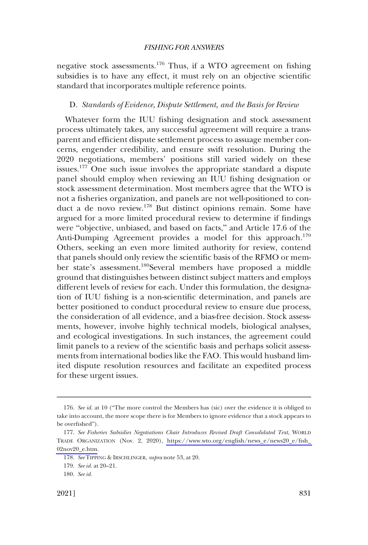<span id="page-34-0"></span>negative stock assessments.176 Thus, if a WTO agreement on fishing subsidies is to have any effect, it must rely on an objective scientific standard that incorporates multiple reference points.

#### D. *Standards of Evidence, Dispute Settlement, and the Basis for Review*

Whatever form the IUU fishing designation and stock assessment process ultimately takes, any successful agreement will require a transparent and efficient dispute settlement process to assuage member concerns, engender credibility, and ensure swift resolution. During the 2020 negotiations, members' positions still varied widely on these issues.<sup>177</sup> One such issue involves the appropriate standard a dispute panel should employ when reviewing an IUU fishing designation or stock assessment determination. Most members agree that the WTO is not a fisheries organization, and panels are not well-positioned to conduct a de novo review.178 But distinct opinions remain. Some have argued for a more limited procedural review to determine if findings were "objective, unbiased, and based on facts," and Article 17.6 of the Anti-Dumping Agreement provides a model for this approach.<sup>179</sup> Others, seeking an even more limited authority for review, contend that panels should only review the scientific basis of the RFMO or member state's assessment.180Several members have proposed a middle ground that distinguishes between distinct subject matters and employs different levels of review for each. Under this formulation, the designation of IUU fishing is a non-scientific determination, and panels are better positioned to conduct procedural review to ensure due process, the consideration of all evidence, and a bias-free decision. Stock assessments, however, involve highly technical models, biological analyses, and ecological investigations. In such instances, the agreement could limit panels to a review of the scientific basis and perhaps solicit assessments from international bodies like the FAO. This would husband limited dispute resolution resources and facilitate an expedited process for these urgent issues.

<sup>176.</sup> *See id.* at 10 ("The more control the Members has (sic) over the evidence it is obliged to take into account, the more scope there is for Members to ignore evidence that a stock appears to be overfished").

*See Fisheries Subsidies Negotiations Chair Introduces Revised Draft Consolidated Text*, WORLD 177. TRADE ORGANIZATION (Nov. 2, 2020), [https://www.wto.org/english/news\\_e/news20\\_e/fish\\_](https://www.wto.org/english/news_e/news20_e/fish_02nov20_e.htm)  [02nov20\\_e.htm.](https://www.wto.org/english/news_e/news20_e/fish_02nov20_e.htm)

<sup>178.</sup> *See* TIPPING & IRSCHLINGER, *supra* note 53, at 20.

<sup>179.</sup> *See id.* at 20–21.

<sup>180.</sup> *See id.*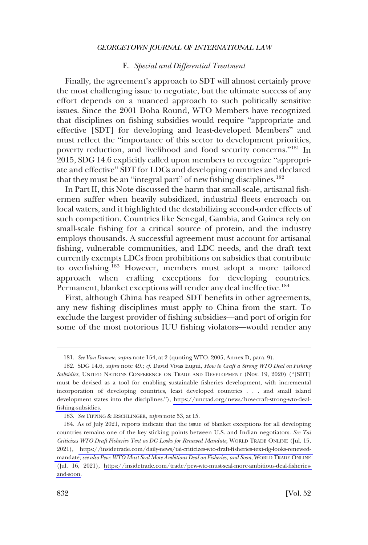# E. *Special and Differential Treatment*

<span id="page-35-0"></span>Finally, the agreement's approach to SDT will almost certainly prove the most challenging issue to negotiate, but the ultimate success of any effort depends on a nuanced approach to such politically sensitive issues. Since the 2001 Doha Round, WTO Members have recognized that disciplines on fishing subsidies would require "appropriate and effective [SDT] for developing and least-developed Members" and must reflect the "importance of this sector to development priorities, poverty reduction, and livelihood and food security concerns."181 In 2015, SDG 14.6 explicitly called upon members to recognize "appropriate and effective" SDT for LDCs and developing countries and declared that they must be an "integral part" of new fishing disciplines. $182$ 

In Part II, this Note discussed the harm that small-scale, artisanal fishermen suffer when heavily subsidized, industrial fleets encroach on local waters, and it highlighted the destabilizing second-order effects of such competition. Countries like Senegal, Gambia, and Guinea rely on small-scale fishing for a critical source of protein, and the industry employs thousands. A successful agreement must account for artisanal fishing, vulnerable communities, and LDC needs, and the draft text currently exempts LDCs from prohibitions on subsidies that contribute to overfishing.<sup>183</sup> However, members must adopt a more tailored approach when crafting exceptions for developing countries. Permanent, blanket exceptions will render any deal ineffective.<sup>184</sup>

First, although China has reaped SDT benefits in other agreements, any new fishing disciplines must apply to China from the start. To exclude the largest provider of fishing subsidies—and port of origin for some of the most notorious IUU fishing violators—would render any

<sup>181.</sup> *See Van Damme*, *supra* note 154, at 2 (quoting WTO, 2005, Annex D, para. 9).

SDG 14.6, *supra* note 49.; *cf.* David Vivas Eugui, *How to Craft a Strong WTO Deal on Fishing*  182. *Subsidies*, UNITED NATIONS CONFERENCE ON TRADE AND DEVELOPMENT (Nov. 19, 2020) ("[SDT] must be devised as a tool for enabling sustainable fisheries development, with incremental incorporation of developing countries, least developed countries . . . and small island development states into the disciplines."), [https://unctad.org/news/how-craft-strong-wto-deal](https://unctad.org/news/how-craft-strong-wto-deal-fishing-subsidies)[fishing-subsidies.](https://unctad.org/news/how-craft-strong-wto-deal-fishing-subsidies)

<sup>183.</sup> *See* TIPPING & IRSCHLINGER, *supra* note 53, at 15.

As of July 2021, reports indicate that the issue of blanket exceptions for all developing 184. countries remains one of the key sticking points between U.S. and Indian negotiators. *See Tai Criticizes WTO Draft Fisheries Text as DG Looks for Renewed Mandate*, WORLD TRADE ONLINE (Jul. 15, 2021), [https://insidetrade.com/daily-news/tai-criticizes-wto-draft-fisheries-text-dg-looks-renewed](https://insidetrade.com/daily-news/tai-criticizes-wto-draft-fisheries-text-dg-looks-renewed-mandate)[mandate;](https://insidetrade.com/daily-news/tai-criticizes-wto-draft-fisheries-text-dg-looks-renewed-mandate) *see also Pew: WTO Must Seal More Ambitious Deal on Fisheries, and Soon*, WORLD TRADE ONLINE (Jul. 16, 2021), [https://insidetrade.com/trade/pew-wto-must-seal-more-ambitious-deal-fisheries](https://insidetrade.com/trade/pew-wto-must-seal-more-ambitious-deal-fisheries-and-soon)[and-soon.](https://insidetrade.com/trade/pew-wto-must-seal-more-ambitious-deal-fisheries-and-soon)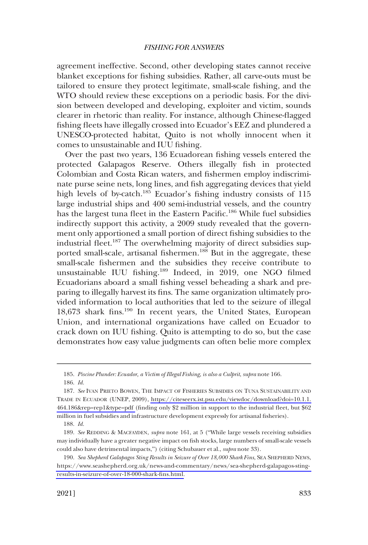agreement ineffective. Second, other developing states cannot receive blanket exceptions for fishing subsidies. Rather, all carve-outs must be tailored to ensure they protect legitimate, small-scale fishing, and the WTO should review these exceptions on a periodic basis. For the division between developed and developing, exploiter and victim, sounds clearer in rhetoric than reality. For instance, although Chinese-flagged fishing fleets have illegally crossed into Ecuador's EEZ and plundered a UNESCO-protected habitat, Quito is not wholly innocent when it comes to unsustainable and IUU fishing.

Over the past two years, 136 Ecuadorean fishing vessels entered the protected Galapagos Reserve. Others illegally fish in protected Colombian and Costa Rican waters, and fishermen employ indiscriminate purse seine nets, long lines, and fish aggregating devices that yield high levels of by-catch.<sup>185</sup> Ecuador's fishing industry consists of 115 large industrial ships and 400 semi-industrial vessels, and the country has the largest tuna fleet in the Eastern Pacific.<sup>186</sup> While fuel subsidies indirectly support this activity, a 2009 study revealed that the government only apportioned a small portion of direct fishing subsidies to the industrial fleet.<sup>187</sup> The overwhelming majority of direct subsidies supported small-scale, artisanal fishermen.<sup>188</sup> But in the aggregate, these small-scale fishermen and the subsidies they receive contribute to unsustainable IUU fishing.189 Indeed, in 2019, one NGO filmed Ecuadorians aboard a small fishing vessel beheading a shark and preparing to illegally harvest its fins. The same organization ultimately provided information to local authorities that led to the seizure of illegal 18,673 shark fins.<sup>190</sup> In recent years, the United States, European Union, and international organizations have called on Ecuador to crack down on IUU fishing. Quito is attempting to do so, but the case demonstrates how easy value judgments can often belie more complex

<sup>185.</sup> *Piscine Plunder: Ecuador, a Victim of Illegal Fishing, is also a Culprit*, *supra* note 166.

<sup>186.</sup> *Id.* 

<sup>187.</sup> See IVAN PRIETO BOWEN, THE IMPACT OF FISHERIES SUBSIDIES ON TUNA SUSTAINABILITY AND TRADE IN ECUADOR (UNEP, 2009), [https://citeseerx.ist.psu.edu/viewdoc/download?doi=10.1.1.](https://citeseerx.ist.psu.edu/viewdoc/download?doi=10.1.1.464.186&rep=rep1&type=pdf) [464.186&rep=rep1&type=pdf](https://citeseerx.ist.psu.edu/viewdoc/download?doi=10.1.1.464.186&rep=rep1&type=pdf) (finding only \$2 million in support to the industrial fleet, but \$62 million in fuel subsidies and infrastructure development expressly for artisanal fisheries).

<sup>188.</sup> *Id.* 

<sup>189.</sup> *See* REDDING & MACFAYDEN, *supra* note 161, at 5 ("While large vessels receiving subsidies may individually have a greater negative impact on fish stocks, large numbers of small-scale vessels could also have detrimental impacts,") (citing Schubauer et al., *supra* note 33).

*Sea Shepherd Galapagos Sting Results in Seizure of Over 18,000 Shark Fins*, SEA SHEPHERD NEWS, 190. [https://www.seashepherd.org.uk/news-and-commentary/news/sea-shepherd-galapagos-sting](https://www.seashepherd.org.uk/news-and-commentary/news/sea-shepherd-galapagos-sting-results-in-seizure-of-over-18-000-shark-fins.html)[results-in-seizure-of-over-18-000-shark-fins.html.](https://www.seashepherd.org.uk/news-and-commentary/news/sea-shepherd-galapagos-sting-results-in-seizure-of-over-18-000-shark-fins.html)